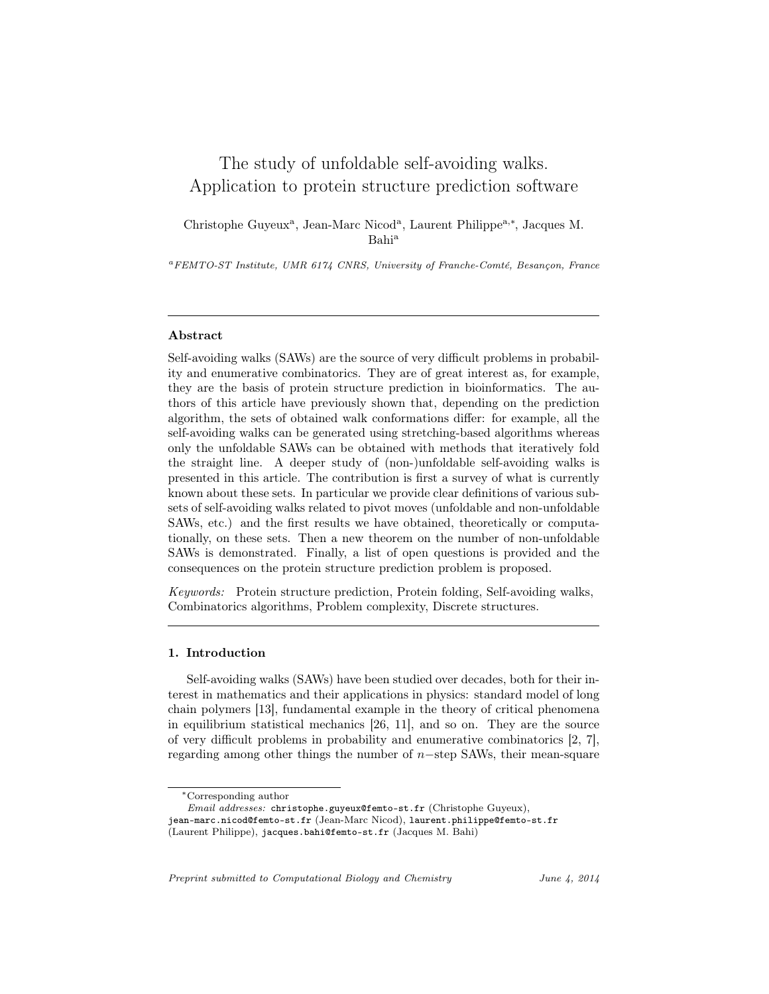# The study of unfoldable self-avoiding walks. Application to protein structure prediction software

Christophe Guyeux<sup>a</sup>, Jean-Marc Nicod<sup>a</sup>, Laurent Philippe<sup>a,\*</sup>, Jacques M. Bahi<sup>a</sup>

<sup>a</sup>FEMTO-ST Institute, UMR 6174 CNRS, University of Franche-Comté, Besançon, France

#### Abstract

Self-avoiding walks (SAWs) are the source of very difficult problems in probability and enumerative combinatorics. They are of great interest as, for example, they are the basis of protein structure prediction in bioinformatics. The authors of this article have previously shown that, depending on the prediction algorithm, the sets of obtained walk conformations differ: for example, all the self-avoiding walks can be generated using stretching-based algorithms whereas only the unfoldable SAWs can be obtained with methods that iteratively fold the straight line. A deeper study of (non-)unfoldable self-avoiding walks is presented in this article. The contribution is first a survey of what is currently known about these sets. In particular we provide clear definitions of various subsets of self-avoiding walks related to pivot moves (unfoldable and non-unfoldable SAWs, etc.) and the first results we have obtained, theoretically or computationally, on these sets. Then a new theorem on the number of non-unfoldable SAWs is demonstrated. Finally, a list of open questions is provided and the consequences on the protein structure prediction problem is proposed.

Keywords: Protein structure prediction, Protein folding, Self-avoiding walks, Combinatorics algorithms, Problem complexity, Discrete structures.

#### 1. Introduction

Self-avoiding walks (SAWs) have been studied over decades, both for their interest in mathematics and their applications in physics: standard model of long chain polymers [13], fundamental example in the theory of critical phenomena in equilibrium statistical mechanics [26, 11], and so on. They are the source of very difficult problems in probability and enumerative combinatorics [2, 7], regarding among other things the number of n−step SAWs, their mean-square

Preprint submitted to Computational Biology and Chemistry *June 4, 2014* 

<sup>∗</sup>Corresponding author

Email addresses: christophe.guyeux@femto-st.fr (Christophe Guyeux), jean-marc.nicod@femto-st.fr (Jean-Marc Nicod), laurent.philippe@femto-st.fr

<sup>(</sup>Laurent Philippe), jacques.bahi@femto-st.fr (Jacques M. Bahi)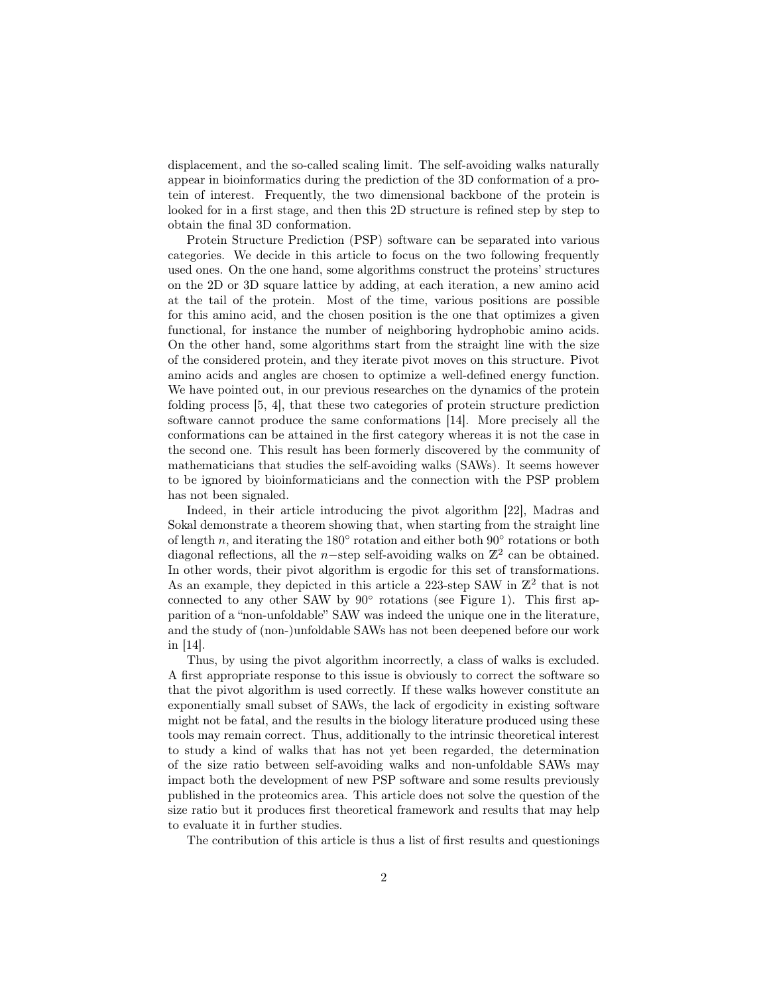displacement, and the so-called scaling limit. The self-avoiding walks naturally appear in bioinformatics during the prediction of the 3D conformation of a protein of interest. Frequently, the two dimensional backbone of the protein is looked for in a first stage, and then this 2D structure is refined step by step to obtain the final 3D conformation.

Protein Structure Prediction (PSP) software can be separated into various categories. We decide in this article to focus on the two following frequently used ones. On the one hand, some algorithms construct the proteins' structures on the 2D or 3D square lattice by adding, at each iteration, a new amino acid at the tail of the protein. Most of the time, various positions are possible for this amino acid, and the chosen position is the one that optimizes a given functional, for instance the number of neighboring hydrophobic amino acids. On the other hand, some algorithms start from the straight line with the size of the considered protein, and they iterate pivot moves on this structure. Pivot amino acids and angles are chosen to optimize a well-defined energy function. We have pointed out, in our previous researches on the dynamics of the protein folding process [5, 4], that these two categories of protein structure prediction software cannot produce the same conformations [14]. More precisely all the conformations can be attained in the first category whereas it is not the case in the second one. This result has been formerly discovered by the community of mathematicians that studies the self-avoiding walks (SAWs). It seems however to be ignored by bioinformaticians and the connection with the PSP problem has not been signaled.

Indeed, in their article introducing the pivot algorithm [22], Madras and Sokal demonstrate a theorem showing that, when starting from the straight line of length n, and iterating the  $180°$  rotation and either both  $90°$  rotations or both diagonal reflections, all the n-step self-avoiding walks on  $\mathbb{Z}^2$  can be obtained. In other words, their pivot algorithm is ergodic for this set of transformations. As an example, they depicted in this article a 223-step SAW in  $\mathbb{Z}^2$  that is not connected to any other SAW by  $90^\circ$  rotations (see Figure 1). This first apparition of a "non-unfoldable" SAW was indeed the unique one in the literature, and the study of (non-)unfoldable SAWs has not been deepened before our work in [14].

Thus, by using the pivot algorithm incorrectly, a class of walks is excluded. A first appropriate response to this issue is obviously to correct the software so that the pivot algorithm is used correctly. If these walks however constitute an exponentially small subset of SAWs, the lack of ergodicity in existing software might not be fatal, and the results in the biology literature produced using these tools may remain correct. Thus, additionally to the intrinsic theoretical interest to study a kind of walks that has not yet been regarded, the determination of the size ratio between self-avoiding walks and non-unfoldable SAWs may impact both the development of new PSP software and some results previously published in the proteomics area. This article does not solve the question of the size ratio but it produces first theoretical framework and results that may help to evaluate it in further studies.

The contribution of this article is thus a list of first results and questionings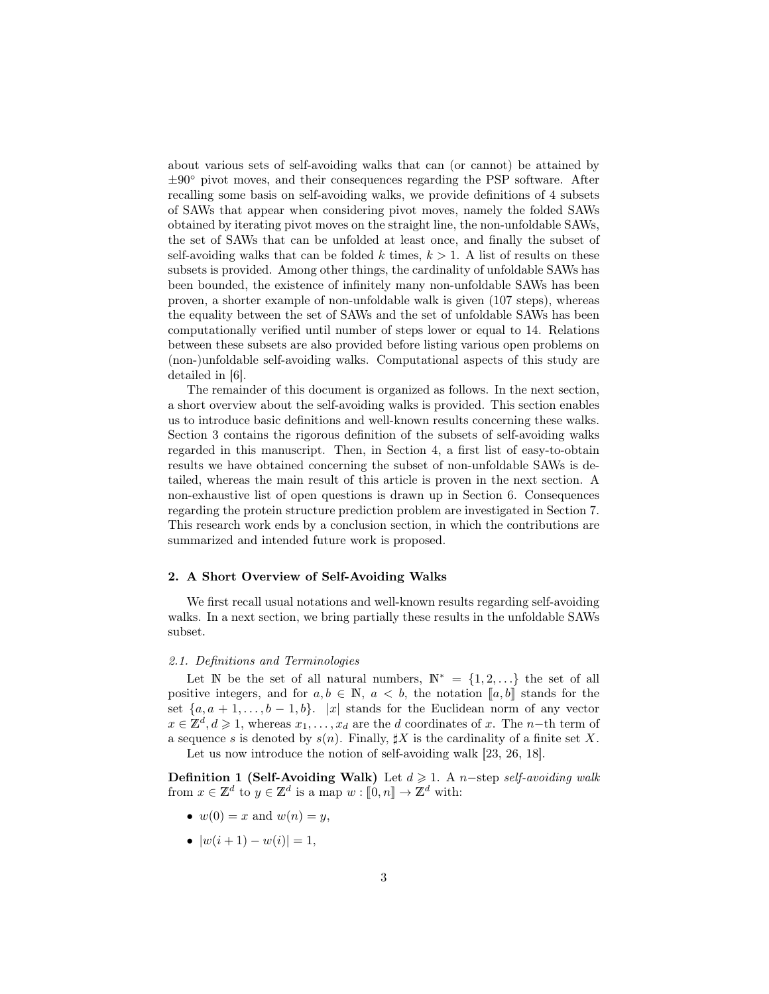about various sets of self-avoiding walks that can (or cannot) be attained by  $\pm 90^\circ$  pivot moves, and their consequences regarding the PSP software. After recalling some basis on self-avoiding walks, we provide definitions of 4 subsets of SAWs that appear when considering pivot moves, namely the folded SAWs obtained by iterating pivot moves on the straight line, the non-unfoldable SAWs, the set of SAWs that can be unfolded at least once, and finally the subset of self-avoiding walks that can be folded k times,  $k > 1$ . A list of results on these subsets is provided. Among other things, the cardinality of unfoldable SAWs has been bounded, the existence of infinitely many non-unfoldable SAWs has been proven, a shorter example of non-unfoldable walk is given (107 steps), whereas the equality between the set of SAWs and the set of unfoldable SAWs has been computationally verified until number of steps lower or equal to 14. Relations between these subsets are also provided before listing various open problems on (non-)unfoldable self-avoiding walks. Computational aspects of this study are detailed in [6].

The remainder of this document is organized as follows. In the next section, a short overview about the self-avoiding walks is provided. This section enables us to introduce basic definitions and well-known results concerning these walks. Section 3 contains the rigorous definition of the subsets of self-avoiding walks regarded in this manuscript. Then, in Section 4, a first list of easy-to-obtain results we have obtained concerning the subset of non-unfoldable SAWs is detailed, whereas the main result of this article is proven in the next section. A non-exhaustive list of open questions is drawn up in Section 6. Consequences regarding the protein structure prediction problem are investigated in Section 7. This research work ends by a conclusion section, in which the contributions are summarized and intended future work is proposed.

## 2. A Short Overview of Self-Avoiding Walks

We first recall usual notations and well-known results regarding self-avoiding walks. In a next section, we bring partially these results in the unfoldable SAWs subset.

## 2.1. Definitions and Terminologies

Let N be the set of all natural numbers,  $\mathbb{N}^* = \{1, 2, ...\}$  the set of all positive integers, and for  $a, b \in \mathbb{N}$ ,  $a < b$ , the notation  $[a, b]$  stands for the set  $\{a, a+1, \ldots, b-1, b\}$ . |x| stands for the Euclidean norm of any vector  $x \in \mathbb{Z}^d, d \geq 1$ , whereas  $x_1, \ldots, x_d$  are the d coordinates of x. The n-th term of a sequence s is denoted by  $s(n)$ . Finally,  $\sharp X$  is the cardinality of a finite set X. Let us now introduce the notion of self-avoiding walk [23, 26, 18].

Definition 1 (Self-Avoiding Walk) Let  $d \geq 1$ . A n-step self-avoiding walk from  $x \in \mathbb{Z}^d$  to  $y \in \mathbb{Z}^d$  is a map  $w : [0, n] \to \mathbb{Z}^d$  with:

- $w(0) = x$  and  $w(n) = y$ ,
- $|w(i+1) w(i)| = 1$ ,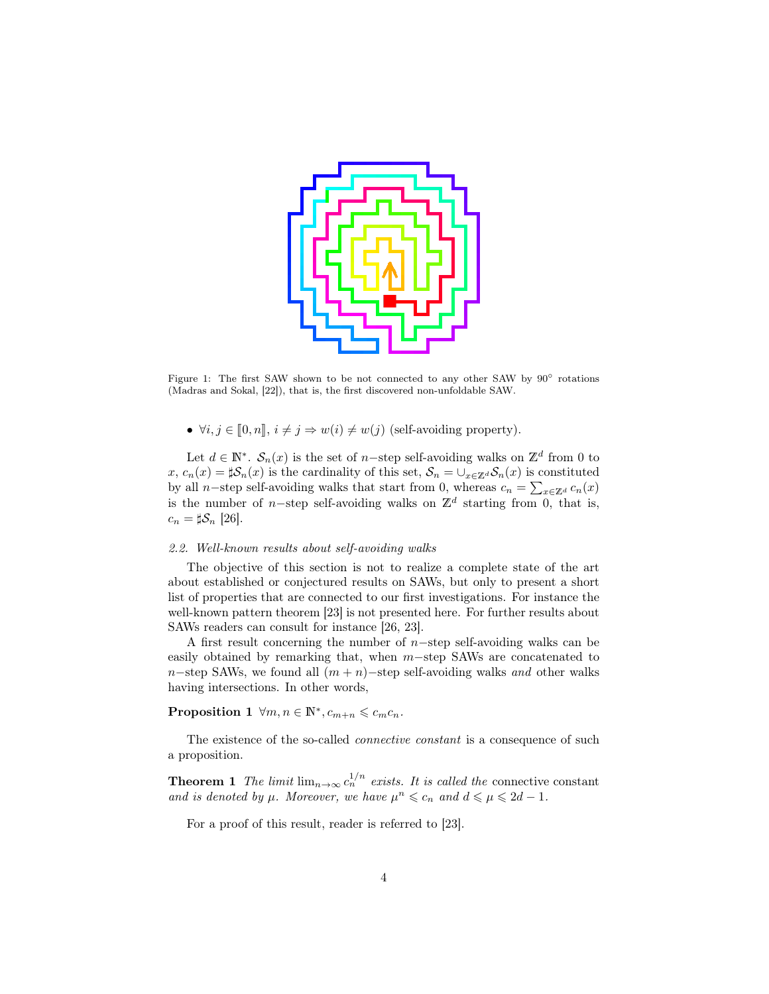

Figure 1: The first SAW shown to be not connected to any other SAW by 90◦ rotations (Madras and Sokal, [22]), that is, the first discovered non-unfoldable SAW.

•  $\forall i, j \in [0, n], i \neq j \Rightarrow w(i) \neq w(j)$  (self-avoiding property).

Let  $d \in \mathbb{N}^*$ .  $\mathcal{S}_n(x)$  is the set of n-step self-avoiding walks on  $\mathbb{Z}^d$  from 0 to  $x, c_n(x) = \sharp \mathcal{S}_n(x)$  is the cardinality of this set,  $\mathcal{S}_n = \bigcup_{x \in \mathbb{Z}^d} \mathcal{S}_n(x)$  is constituted by all n–step self-avoiding walks that start from 0, whereas  $c_n = \sum_{x \in \mathbb{Z}^d} c_n(x)$ is the number of n-step self-avoiding walks on  $\mathbb{Z}^d$  starting from 0, that is,  $c_n = \sharp \mathcal{S}_n$  [26].

## 2.2. Well-known results about self-avoiding walks

The objective of this section is not to realize a complete state of the art about established or conjectured results on SAWs, but only to present a short list of properties that are connected to our first investigations. For instance the well-known pattern theorem [23] is not presented here. For further results about SAWs readers can consult for instance [26, 23].

A first result concerning the number of  $n$ -step self-avoiding walks can be easily obtained by remarking that, when m−step SAWs are concatenated to n−step SAWs, we found all  $(m + n)$ −step self-avoiding walks and other walks having intersections. In other words,

Proposition 1  $\forall m, n \in \mathbb{N}^*, c_{m+n} \leqslant c_m c_n$ .

The existence of the so-called *connective constant* is a consequence of such a proposition.

**Theorem 1** The limit  $\lim_{n\to\infty} c_n^{1/n}$  exists. It is called the connective constant and is denoted by  $\mu$ . Moreover, we have  $\mu^n \leq c_n$  and  $d \leq \mu \leq 2d - 1$ .

For a proof of this result, reader is referred to [23].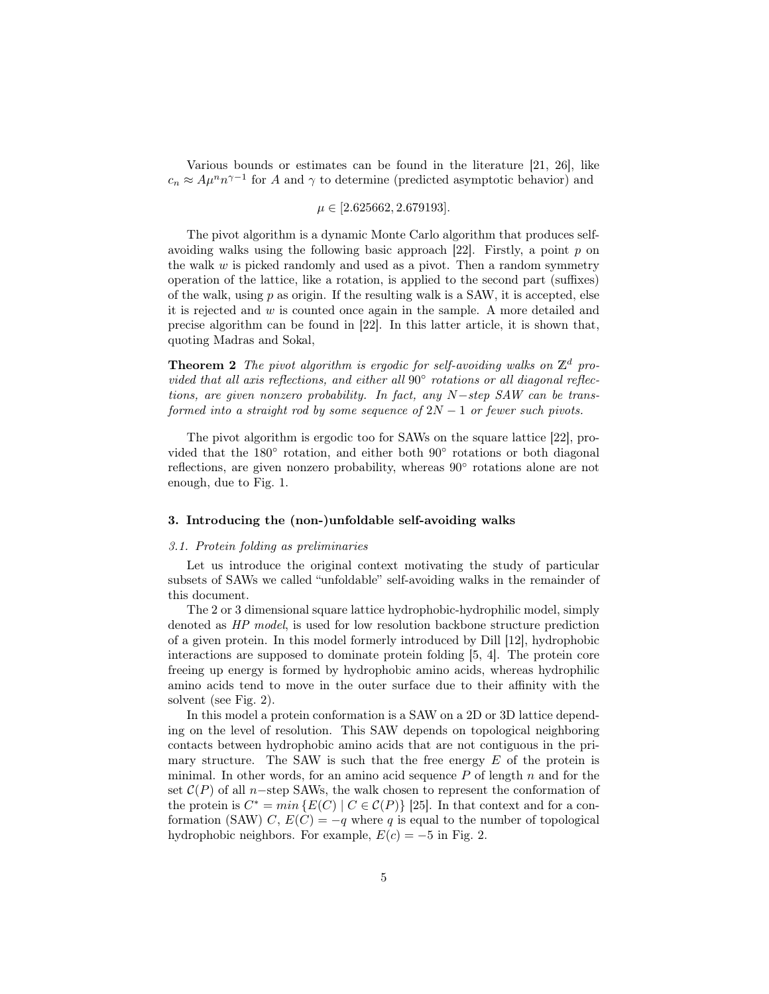Various bounds or estimates can be found in the literature [21, 26], like  $c_n \approx A\mu^n n^{\gamma-1}$  for A and  $\gamma$  to determine (predicted asymptotic behavior) and

 $\mu \in [2.625662, 2.679193].$ 

The pivot algorithm is a dynamic Monte Carlo algorithm that produces selfavoiding walks using the following basic approach  $[22]$ . Firstly, a point p on the walk  $w$  is picked randomly and used as a pivot. Then a random symmetry operation of the lattice, like a rotation, is applied to the second part (suffixes) of the walk, using  $p$  as origin. If the resulting walk is a SAW, it is accepted, else it is rejected and w is counted once again in the sample. A more detailed and precise algorithm can be found in [22]. In this latter article, it is shown that, quoting Madras and Sokal,

**Theorem 2** The pivot algorithm is ergodic for self-avoiding walks on  $\mathbb{Z}^d$  provided that all axis reflections, and either all 90° rotations or all diagonal reflections, are given nonzero probability. In fact, any N−step SAW can be transformed into a straight rod by some sequence of  $2N - 1$  or fewer such pivots.

The pivot algorithm is ergodic too for SAWs on the square lattice [22], provided that the 180° rotation, and either both 90° rotations or both diagonal reflections, are given nonzero probability, whereas 90° rotations alone are not enough, due to Fig. 1.

## 3. Introducing the (non-)unfoldable self-avoiding walks

#### 3.1. Protein folding as preliminaries

Let us introduce the original context motivating the study of particular subsets of SAWs we called "unfoldable" self-avoiding walks in the remainder of this document.

The 2 or 3 dimensional square lattice hydrophobic-hydrophilic model, simply denoted as HP model, is used for low resolution backbone structure prediction of a given protein. In this model formerly introduced by Dill [12], hydrophobic interactions are supposed to dominate protein folding [5, 4]. The protein core freeing up energy is formed by hydrophobic amino acids, whereas hydrophilic amino acids tend to move in the outer surface due to their affinity with the solvent (see Fig. 2).

In this model a protein conformation is a SAW on a 2D or 3D lattice depending on the level of resolution. This SAW depends on topological neighboring contacts between hydrophobic amino acids that are not contiguous in the primary structure. The SAW is such that the free energy  $E$  of the protein is minimal. In other words, for an amino acid sequence  $P$  of length  $n$  and for the set  $\mathcal{C}(P)$  of all n–step SAWs, the walk chosen to represent the conformation of the protein is  $C^* = min \{ E(C) | C \in C(P) \}$  [25]. In that context and for a conformation (SAW) C,  $E(C) = -q$  where q is equal to the number of topological hydrophobic neighbors. For example,  $E(c) = -5$  in Fig. 2.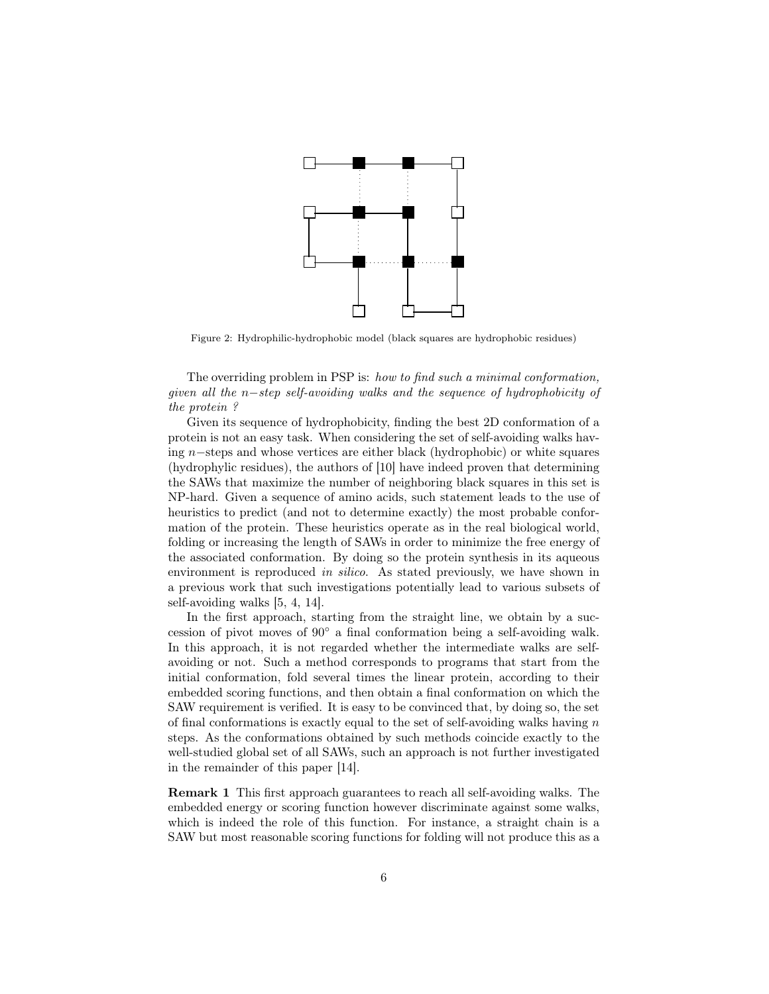

Figure 2: Hydrophilic-hydrophobic model (black squares are hydrophobic residues)

The overriding problem in PSP is: how to find such a minimal conformation, given all the n−step self-avoiding walks and the sequence of hydrophobicity of the protein ?

Given its sequence of hydrophobicity, finding the best 2D conformation of a protein is not an easy task. When considering the set of self-avoiding walks having n−steps and whose vertices are either black (hydrophobic) or white squares (hydrophylic residues), the authors of [10] have indeed proven that determining the SAWs that maximize the number of neighboring black squares in this set is NP-hard. Given a sequence of amino acids, such statement leads to the use of heuristics to predict (and not to determine exactly) the most probable conformation of the protein. These heuristics operate as in the real biological world, folding or increasing the length of SAWs in order to minimize the free energy of the associated conformation. By doing so the protein synthesis in its aqueous environment is reproduced in silico. As stated previously, we have shown in a previous work that such investigations potentially lead to various subsets of self-avoiding walks [5, 4, 14].

In the first approach, starting from the straight line, we obtain by a succession of pivot moves of 90◦ a final conformation being a self-avoiding walk. In this approach, it is not regarded whether the intermediate walks are selfavoiding or not. Such a method corresponds to programs that start from the initial conformation, fold several times the linear protein, according to their embedded scoring functions, and then obtain a final conformation on which the SAW requirement is verified. It is easy to be convinced that, by doing so, the set of final conformations is exactly equal to the set of self-avoiding walks having  $n$ steps. As the conformations obtained by such methods coincide exactly to the well-studied global set of all SAWs, such an approach is not further investigated in the remainder of this paper [14].

Remark 1 This first approach guarantees to reach all self-avoiding walks. The embedded energy or scoring function however discriminate against some walks, which is indeed the role of this function. For instance, a straight chain is a SAW but most reasonable scoring functions for folding will not produce this as a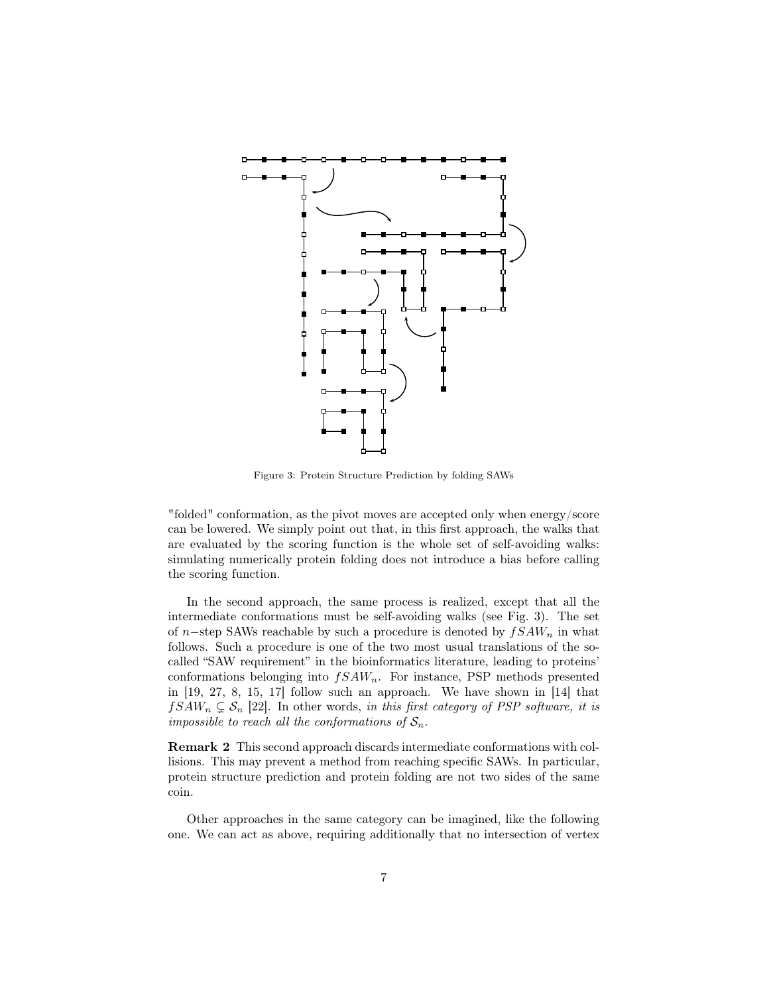

Figure 3: Protein Structure Prediction by folding SAWs

"folded" conformation, as the pivot moves are accepted only when energy/score can be lowered. We simply point out that, in this first approach, the walks that are evaluated by the scoring function is the whole set of self-avoiding walks: simulating numerically protein folding does not introduce a bias before calling the scoring function.

In the second approach, the same process is realized, except that all the intermediate conformations must be self-avoiding walks (see Fig. 3). The set of n–step SAWs reachable by such a procedure is denoted by  $fSAW_n$  in what follows. Such a procedure is one of the two most usual translations of the socalled "SAW requirement" in the bioinformatics literature, leading to proteins' conformations belonging into  $fSAW_n$ . For instance, PSP methods presented in [19, 27, 8, 15, 17] follow such an approach. We have shown in [14] that  $fSAW_n \subsetneq S_n$  [22]. In other words, in this first category of PSP software, it is impossible to reach all the conformations of  $S_n$ .

Remark 2 This second approach discards intermediate conformations with collisions. This may prevent a method from reaching specific SAWs. In particular, protein structure prediction and protein folding are not two sides of the same coin.

Other approaches in the same category can be imagined, like the following one. We can act as above, requiring additionally that no intersection of vertex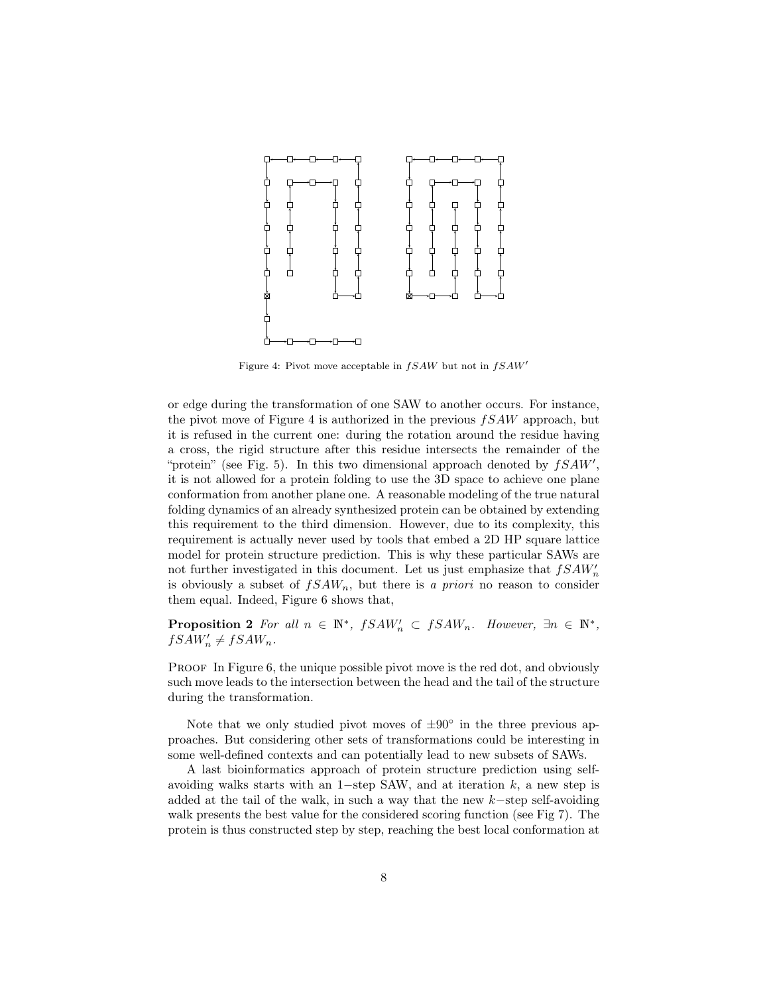

Figure 4: Pivot move acceptable in  $fSAW$  but not in  $fSAW'$ 

or edge during the transformation of one SAW to another occurs. For instance, the pivot move of Figure 4 is authorized in the previous  $fSAW$  approach, but it is refused in the current one: during the rotation around the residue having a cross, the rigid structure after this residue intersects the remainder of the "protein" (see Fig. 5). In this two dimensional approach denoted by  $fSAW'$ , it is not allowed for a protein folding to use the 3D space to achieve one plane conformation from another plane one. A reasonable modeling of the true natural folding dynamics of an already synthesized protein can be obtained by extending this requirement to the third dimension. However, due to its complexity, this requirement is actually never used by tools that embed a 2D HP square lattice model for protein structure prediction. This is why these particular SAWs are not further investigated in this document. Let us just emphasize that  $fSAW'_n$ is obviously a subset of  $fSAW_n$ , but there is a priori no reason to consider them equal. Indeed, Figure 6 shows that,

**Proposition 2** For all  $n \in \mathbb{N}^*$ ,  $fSAW'_n \subset fSAW_n$ . However,  $\exists n \in \mathbb{N}^*$ ,  $fSAW'_{n} \neq fSAW_{n}$ .

PROOF In Figure 6, the unique possible pivot move is the red dot, and obviously such move leads to the intersection between the head and the tail of the structure during the transformation.

Note that we only studied pivot moves of  $\pm 90^\circ$  in the three previous approaches. But considering other sets of transformations could be interesting in some well-defined contexts and can potentially lead to new subsets of SAWs.

A last bioinformatics approach of protein structure prediction using selfavoiding walks starts with an 1−step SAW, and at iteration  $k$ , a new step is added at the tail of the walk, in such a way that the new k−step self-avoiding walk presents the best value for the considered scoring function (see Fig 7). The protein is thus constructed step by step, reaching the best local conformation at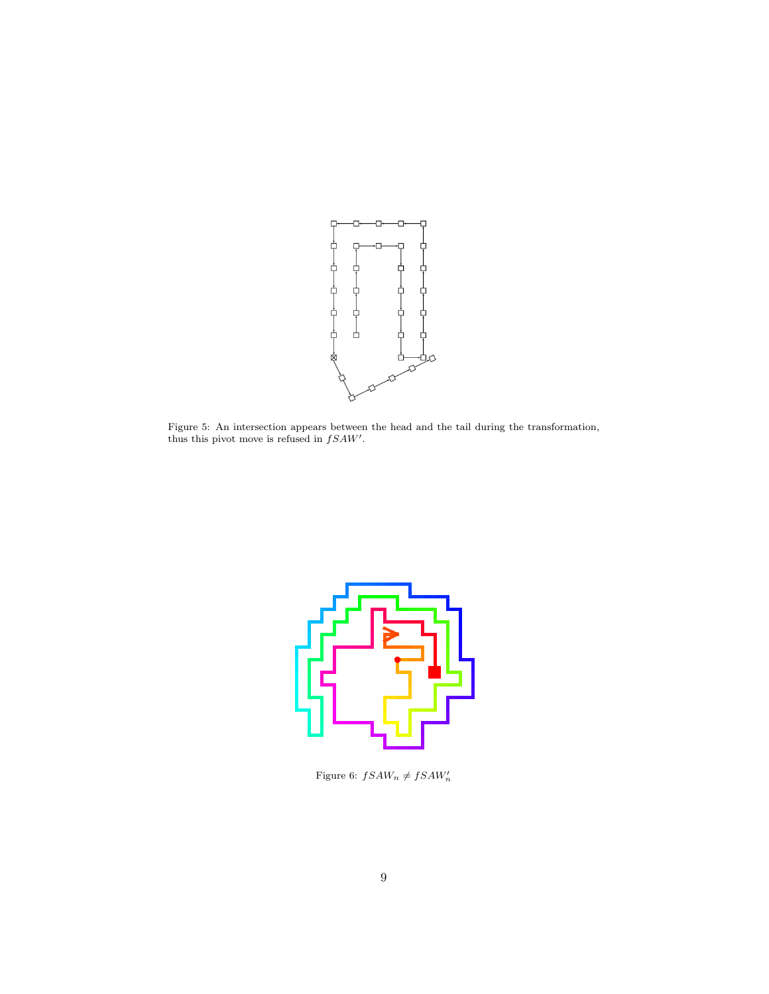

Figure 5: An intersection appears between the head and the tail during the transformation, thus this pivot move is refused in  $fSAW'$ .



Figure 6:  $fSAW_n \neq fSAW_n'$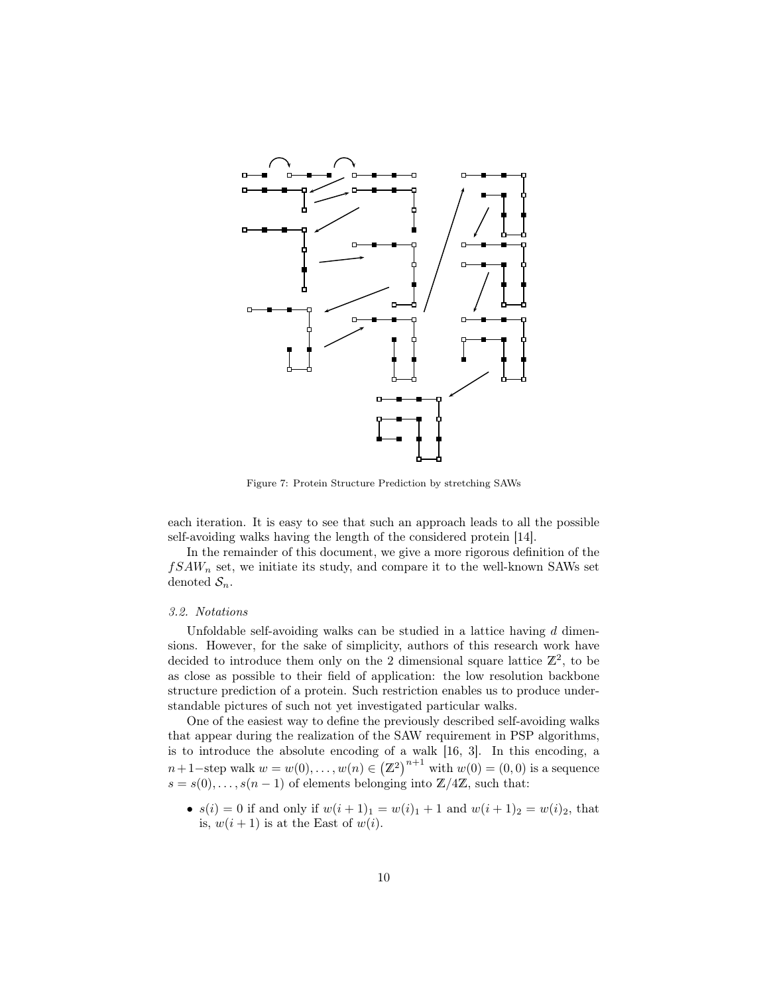

Figure 7: Protein Structure Prediction by stretching SAWs

each iteration. It is easy to see that such an approach leads to all the possible self-avoiding walks having the length of the considered protein [14].

In the remainder of this document, we give a more rigorous definition of the  $fSAW_n$  set, we initiate its study, and compare it to the well-known SAWs set denoted  $S_n$ .

## 3.2. Notations

Unfoldable self-avoiding walks can be studied in a lattice having  $d$  dimensions. However, for the sake of simplicity, authors of this research work have decided to introduce them only on the 2 dimensional square lattice  $\mathbb{Z}^2$ , to be as close as possible to their field of application: the low resolution backbone structure prediction of a protein. Such restriction enables us to produce understandable pictures of such not yet investigated particular walks.

One of the easiest way to define the previously described self-avoiding walks that appear during the realization of the SAW requirement in PSP algorithms, is to introduce the absolute encoding of a walk [16, 3]. In this encoding, a  $n+1$ -step walk  $w = w(0), \ldots, w(n) \in (\mathbb{Z}^2)^{n+1}$  with  $w(0) = (0,0)$  is a sequence  $s = s(0), \ldots, s(n-1)$  of elements belonging into  $\mathbb{Z}/4\mathbb{Z}$ , such that:

•  $s(i) = 0$  if and only if  $w(i + 1)<sub>1</sub> = w(i)<sub>1</sub> + 1$  and  $w(i + 1)<sub>2</sub> = w(i)<sub>2</sub>$ , that is,  $w(i + 1)$  is at the East of  $w(i)$ .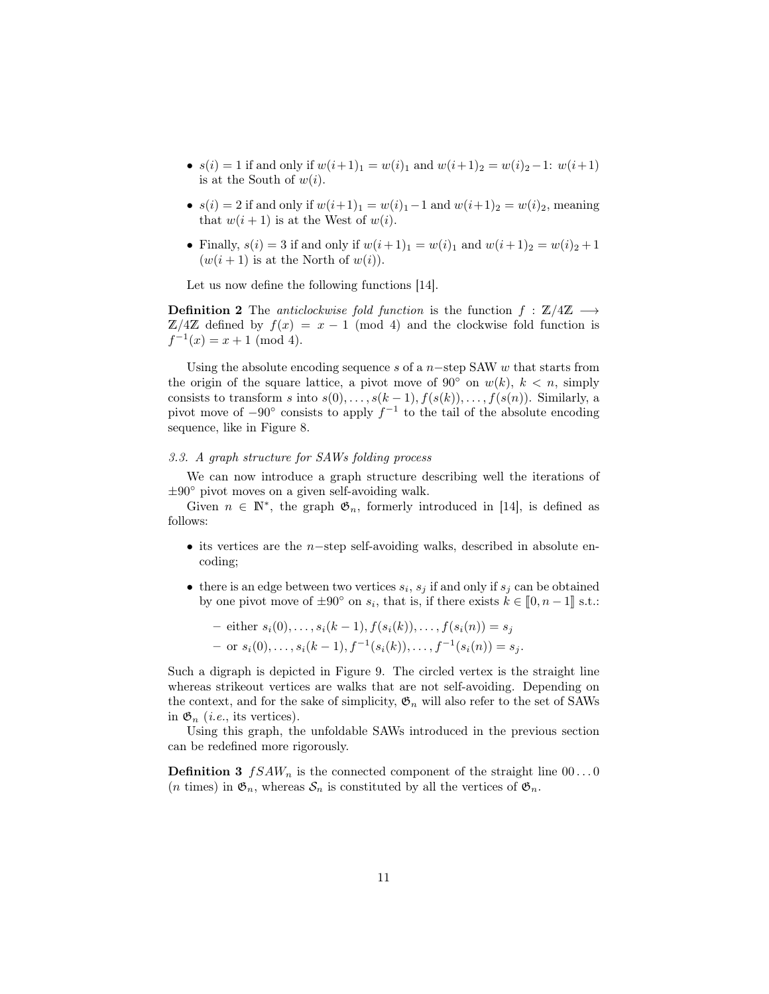- $s(i) = 1$  if and only if  $w(i+1)<sub>1</sub> = w(i)<sub>1</sub>$  and  $w(i+1)<sub>2</sub> = w(i)<sub>2</sub> 1$ :  $w(i+1)$ is at the South of  $w(i)$ .
- $s(i) = 2$  if and only if  $w(i+1)<sub>1</sub> = w(i)<sub>1</sub> 1$  and  $w(i+1)<sub>2</sub> = w(i)<sub>2</sub>$ , meaning that  $w(i + 1)$  is at the West of  $w(i)$ .
- Finally,  $s(i) = 3$  if and only if  $w(i + 1)<sub>1</sub> = w(i)<sub>1</sub>$  and  $w(i + 1)<sub>2</sub> = w(i)<sub>2</sub> + 1$  $(w(i + 1))$  is at the North of  $w(i)$ .

Let us now define the following functions [14].

**Definition 2** The anticlockwise fold function is the function  $f : \mathbb{Z}/4\mathbb{Z} \longrightarrow$  $\mathbb{Z}/4\mathbb{Z}$  defined by  $f(x) = x - 1 \pmod{4}$  and the clockwise fold function is  $f^{-1}(x) = x + 1 \pmod{4}.$ 

Using the absolute encoding sequence s of a  $n$ -step SAW w that starts from the origin of the square lattice, a pivot move of 90 $^{\circ}$  on  $w(k)$ ,  $k < n$ , simply consists to transform s into  $s(0), \ldots, s(k-1), f(s(k)), \ldots, f(s(n))$ . Similarly, a pivot move of  $-90°$  consists to apply  $f^{-1}$  to the tail of the absolute encoding sequence, like in Figure 8.

## 3.3. A graph structure for SAWs folding process

We can now introduce a graph structure describing well the iterations of  $\pm 90^\circ$  pivot moves on a given self-avoiding walk.

Given  $n \in \mathbb{N}^*$ , the graph  $\mathfrak{G}_n$ , formerly introduced in [14], is defined as follows:

- its vertices are the n–step self-avoiding walks, described in absolute encoding;
- there is an edge between two vertices  $s_i$ ,  $s_j$  if and only if  $s_j$  can be obtained by one pivot move of  $\pm 90^\circ$  on  $s_i$ , that is, if there exists  $k \in [0, n-1]$  s.t.:

- either 
$$
s_i(0),..., s_i(k-1), f(s_i(k)),..., f(s_i(n)) = s_j
$$
  
- or  $s_i(0),..., s_i(k-1), f^{-1}(s_i(k)),..., f^{-1}(s_i(n)) = s_j.$ 

Such a digraph is depicted in Figure 9. The circled vertex is the straight line whereas strikeout vertices are walks that are not self-avoiding. Depending on the context, and for the sake of simplicity,  $\mathfrak{G}_n$  will also refer to the set of SAWs in  $\mathfrak{G}_n$  (*i.e.*, its vertices).

Using this graph, the unfoldable SAWs introduced in the previous section can be redefined more rigorously.

**Definition 3**  $fSAW_n$  is the connected component of the straight line  $00...0$ (*n* times) in  $\mathfrak{G}_n$ , whereas  $\mathcal{S}_n$  is constituted by all the vertices of  $\mathfrak{G}_n$ .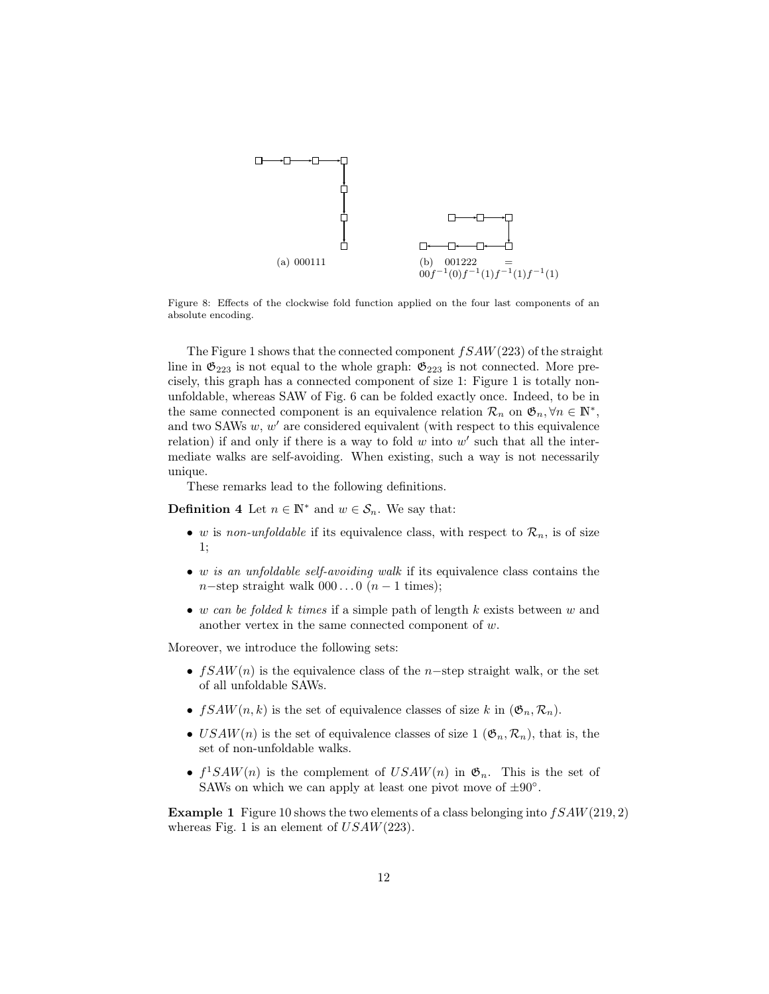

Figure 8: Effects of the clockwise fold function applied on the four last components of an absolute encoding.

The Figure 1 shows that the connected component  $fSAW(223)$  of the straight line in  $\mathfrak{G}_{223}$  is not equal to the whole graph:  $\mathfrak{G}_{223}$  is not connected. More precisely, this graph has a connected component of size 1: Figure 1 is totally nonunfoldable, whereas SAW of Fig. 6 can be folded exactly once. Indeed, to be in the same connected component is an equivalence relation  $\mathcal{R}_n$  on  $\mathfrak{G}_n, \forall n \in \mathbb{N}^*$ , and two SAWs  $w, w'$  are considered equivalent (with respect to this equivalence relation) if and only if there is a way to fold  $w$  into  $w'$  such that all the intermediate walks are self-avoiding. When existing, such a way is not necessarily unique.

These remarks lead to the following definitions.

**Definition 4** Let  $n \in \mathbb{N}^*$  and  $w \in \mathcal{S}_n$ . We say that:

- w is non-unfoldable if its equivalence class, with respect to  $\mathcal{R}_n$ , is of size 1;
- w is an unfoldable self-avoiding walk if its equivalence class contains the n−step straight walk  $000...0$   $(n-1$  times);
- w can be folded k times if a simple path of length k exists between w and another vertex in the same connected component of w.

Moreover, we introduce the following sets:

- $fSAW(n)$  is the equivalence class of the n-step straight walk, or the set of all unfoldable SAWs.
- $fSAW(n, k)$  is the set of equivalence classes of size k in  $(\mathfrak{G}_n, \mathcal{R}_n)$ .
- USAW(n) is the set of equivalence classes of size 1 ( $\mathfrak{G}_n, \mathcal{R}_n$ ), that is, the set of non-unfoldable walks.
- $f^1SAW(n)$  is the complement of  $USAW(n)$  in  $\mathfrak{G}_n$ . This is the set of SAWs on which we can apply at least one pivot move of  $\pm 90^\circ$ .

**Example 1** Figure 10 shows the two elements of a class belonging into  $fSAW(219, 2)$ whereas Fig. 1 is an element of  $USAW(223)$ .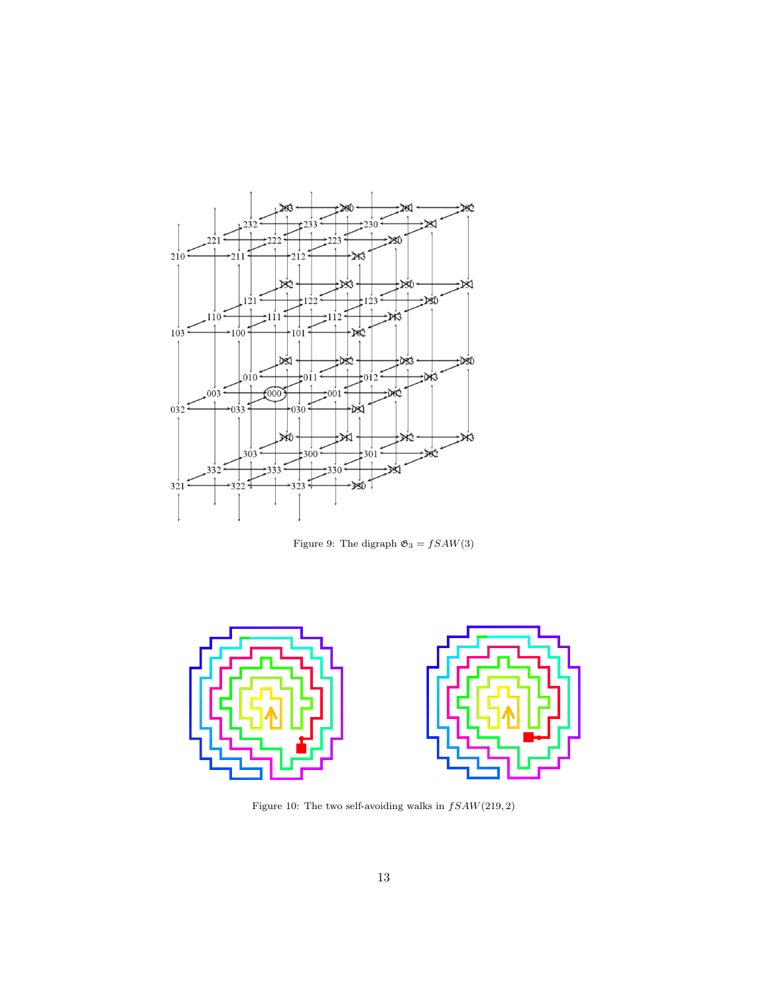

Figure 9: The digraph  $\mathfrak{G}_3 = fSAW(3)$ 



Figure 10: The two self-avoiding walks in  $fSAW(219,2)$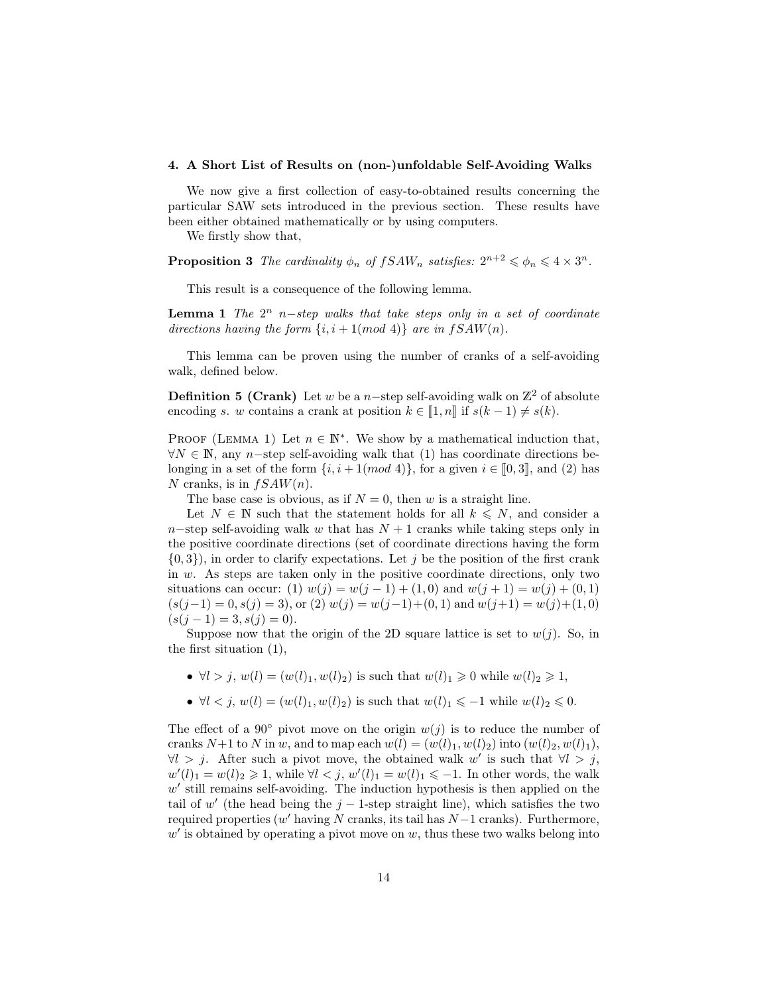#### 4. A Short List of Results on (non-)unfoldable Self-Avoiding Walks

We now give a first collection of easy-to-obtained results concerning the particular SAW sets introduced in the previous section. These results have been either obtained mathematically or by using computers.

We firstly show that,

**Proposition 3** The cardinality  $\phi_n$  of  $fSAW_n$  satisfies:  $2^{n+2} \leq \phi_n \leq 4 \times 3^n$ .

This result is a consequence of the following lemma.

**Lemma 1** The  $2^n$  n–step walks that take steps only in a set of coordinate directions having the form  $\{i, i+1 \pmod{4}\}$  are in  $fSAW(n)$ .

This lemma can be proven using the number of cranks of a self-avoiding walk, defined below.

**Definition 5 (Crank)** Let w be a n–step self-avoiding walk on  $\mathbb{Z}^2$  of absolute encoding s. w contains a crank at position  $k \in \llbracket 1, n \rrbracket$  if  $s(k-1) \neq s(k)$ .

PROOF (LEMMA 1) Let  $n \in \mathbb{N}^*$ . We show by a mathematical induction that,  $\forall N \in \mathbb{N}$ , any n-step self-avoiding walk that (1) has coordinate directions belonging in a set of the form  $\{i, i + 1 \pmod{4}\}$ , for a given  $i \in [0, 3]$ , and (2) has N cranks, is in  $fSAW(n)$ .

The base case is obvious, as if  $N = 0$ , then w is a straight line.

Let  $N \in \mathbb{N}$  such that the statement holds for all  $k \leq N$ , and consider a n–step self-avoiding walk w that has  $N + 1$  cranks while taking steps only in the positive coordinate directions (set of coordinate directions having the form  $\{0,3\}$ , in order to clarify expectations. Let j be the position of the first crank in w. As steps are taken only in the positive coordinate directions, only two situations can occur: (1)  $w(j) = w(j-1) + (1,0)$  and  $w(j+1) = w(j) + (0,1)$  $(s(j-1) = 0, s(j) = 3)$ , or  $(2) w(j) = w(j-1)+(0,1)$  and  $w(j+1) = w(j)+(1,0)$  $(s(j-1) = 3, s(j) = 0).$ 

Suppose now that the origin of the 2D square lattice is set to  $w(j)$ . So, in the first situation (1),

- $\forall l > j, w(l) = (w(l)_1, w(l)_2)$  is such that  $w(l)_1 \geq 0$  while  $w(l)_2 \geq 1$ ,
- $\forall l < j, w(l) = (w(l)_1, w(l)_2)$  is such that  $w(l)_1 \leq -1$  while  $w(l)_2 \leq 0$ .

The effect of a 90 $^{\circ}$  pivot move on the origin  $w(j)$  is to reduce the number of cranks  $N+1$  to N in w, and to map each  $w(l) = (w(l)_1, w(l)_2)$  into  $(w(l)_2, w(l)_1)$ ,  $\forall l > j$ . After such a pivot move, the obtained walk w' is such that  $\forall l > j$ ,  $w'(l)_1 = w(l)_2 \geq 1$ , while  $\forall l < j$ ,  $w'(l)_1 = w(l)_1 \leq -1$ . In other words, the walk  $w'$  still remains self-avoiding. The induction hypothesis is then applied on the tail of w' (the head being the  $j-1$ -step straight line), which satisfies the two required properties  $(w'$  having N cranks, its tail has  $N-1$  cranks). Furthermore,  $w'$  is obtained by operating a pivot move on  $w$ , thus these two walks belong into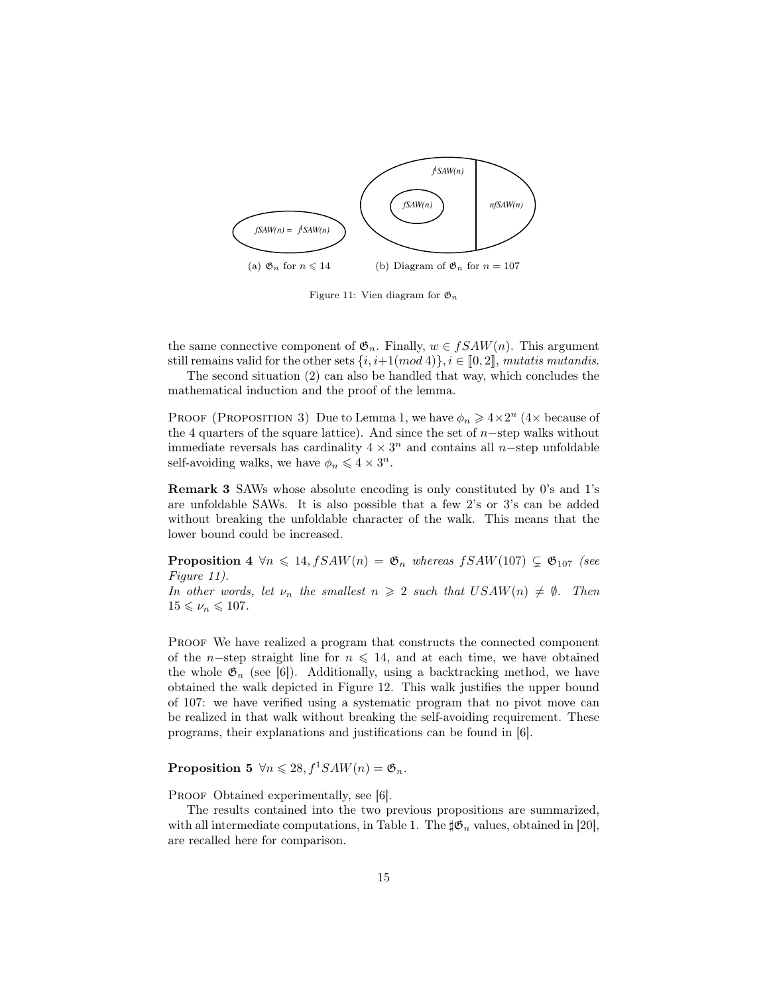

Figure 11: Vien diagram for  $\mathfrak{G}_n$ 

the same connective component of  $\mathfrak{G}_n$ . Finally,  $w \in fSAW(n)$ . This argument still remains valid for the other sets  $\{i, i+1(mod 4)\}, i \in [0, 2],$  mutatis mutandis.

The second situation (2) can also be handled that way, which concludes the mathematical induction and the proof of the lemma.

PROOF (PROPOSITION 3) Due to Lemma 1, we have  $\phi_n \geq 4 \times 2^n$  (4× because of the 4 quarters of the square lattice). And since the set of  $n$ -step walks without immediate reversals has cardinality  $4 \times 3^n$  and contains all n-step unfoldable self-avoiding walks, we have  $\phi_n \leqslant 4 \times 3^n$ .

Remark 3 SAWs whose absolute encoding is only constituted by 0's and 1's are unfoldable SAWs. It is also possible that a few 2's or 3's can be added without breaking the unfoldable character of the walk. This means that the lower bound could be increased.

**Proposition 4**  $\forall n \leq 14$ ,  $fSAW(n) = \mathfrak{G}_n$  whereas  $fSAW(107) \subsetneq \mathfrak{G}_{107}$  (see Figure 11).

In other words, let  $\nu_n$  the smallest  $n \geq 2$  such that  $USAW(n) \neq \emptyset$ . Then  $15 \leqslant \nu_n \leqslant 107.$ 

PROOF We have realized a program that constructs the connected component of the n–step straight line for  $n \leq 14$ , and at each time, we have obtained the whole  $\mathfrak{G}_n$  (see [6]). Additionally, using a backtracking method, we have obtained the walk depicted in Figure 12. This walk justifies the upper bound of 107: we have verified using a systematic program that no pivot move can be realized in that walk without breaking the self-avoiding requirement. These programs, their explanations and justifications can be found in [6].

**Proposition 5**  $\forall n \leq 28, f^1SAW(n) = \mathfrak{G}_n$ .

PROOF Obtained experimentally, see [6].

The results contained into the two previous propositions are summarized, with all intermediate computations, in Table 1. The  $\sharp \mathfrak{G}_n$  values, obtained in [20], are recalled here for comparison.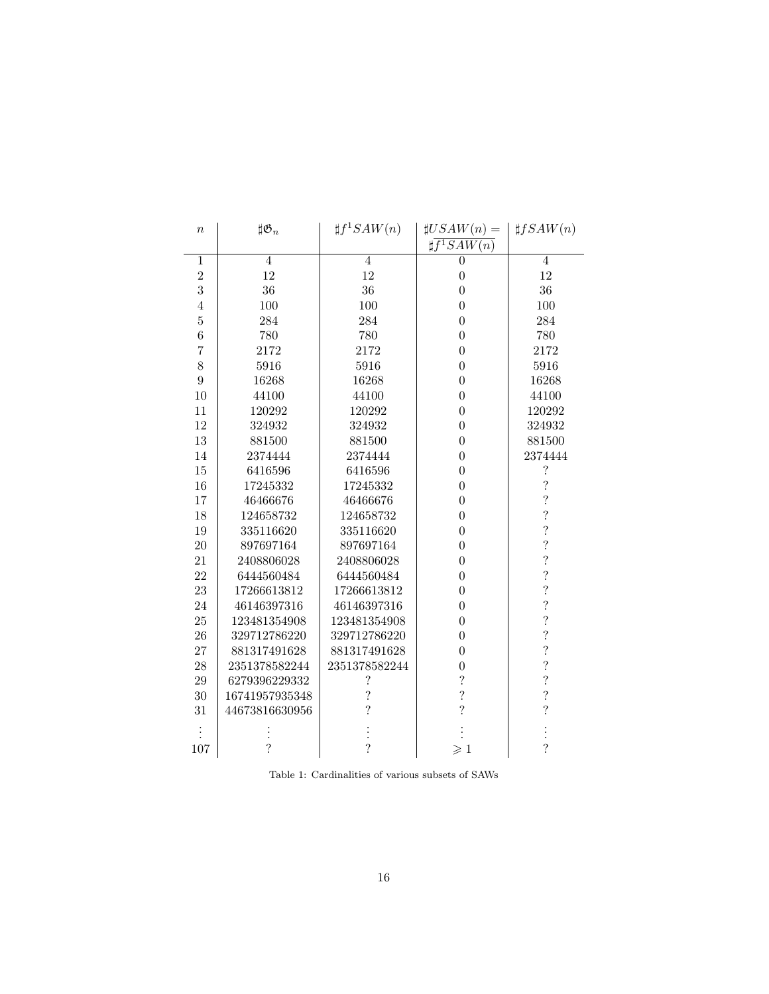| $\it{n}$       | $\sharp \mathfrak{G}_n$  | $\sharp f^1SAW(n)$       | $\sharp USAW(n) =$            | $\sharp fSAW(n)$         |
|----------------|--------------------------|--------------------------|-------------------------------|--------------------------|
|                |                          |                          | $\sharp \overline{f^1SAW(n)}$ |                          |
| 1              | $\overline{4}$           | $\overline{4}$           | $\overline{0}$                | $\overline{4}$           |
| $\overline{2}$ | 12                       | 12                       | $\boldsymbol{0}$              | 12                       |
| 3              | 36                       | 36                       | $\overline{0}$                | 36                       |
| $\overline{4}$ | 100                      | 100                      | $\overline{0}$                | 100                      |
| $\overline{5}$ | 284                      | 284                      | $\overline{0}$                | 284                      |
| $\overline{6}$ | 780                      | 780                      | $\boldsymbol{0}$              | 780                      |
| $\overline{7}$ | 2172                     | 2172                     | $\overline{0}$                | 2172                     |
| 8              | 5916                     | 5916                     | $\overline{0}$                | 5916                     |
| 9              | 16268                    | 16268                    | $\overline{0}$                | 16268                    |
| 10             | 44100                    | 44100                    | $\overline{0}$                | 44100                    |
| $11\,$         | 120292                   | 120292                   | $\overline{0}$                | 120292                   |
| 12             | 324932                   | 324932                   | $\overline{0}$                | 324932                   |
| 13             | 881500                   | 881500                   | $\overline{0}$                | 881500                   |
| 14             | 2374444                  | 2374444                  | $\overline{0}$                | 2374444                  |
| 15             | 6416596                  | 6416596                  | $\overline{0}$                | $\boldsymbol{?}$         |
| 16             | 17245332                 | 17245332                 | $\overline{0}$                | $\overline{\mathcal{L}}$ |
| 17             | 46466676                 | 46466676                 | $\overline{0}$                | $\overline{\mathcal{C}}$ |
| 18             | 124658732                | 124658732                | $\overline{0}$                | $\overline{\mathcal{C}}$ |
| 19             | 335116620                | 335116620                | $\overline{0}$                | $\overline{\mathcal{C}}$ |
| 20             | 897697164                | 897697164                | $\overline{0}$                | $\overline{\mathcal{C}}$ |
| 21             | 2408806028               | 2408806028               | $\theta$                      | $\overline{\mathcal{L}}$ |
| 22             | 6444560484               | 6444560484               | $\overline{0}$                | $\overline{\mathcal{C}}$ |
| 23             | 17266613812              | 17266613812              | $\overline{0}$                | $\overline{\mathcal{E}}$ |
| 24             | 46146397316              | 46146397316              | $\overline{0}$                | $\overline{\mathcal{C}}$ |
| 25             | 123481354908             | 123481354908             | $\overline{0}$                | $\overline{\cdot}$       |
| 26             | 329712786220             | 329712786220             | $\overline{0}$                | $\overline{\mathcal{E}}$ |
| 27             | 881317491628             | 881317491628             | $\overline{0}$                | $\ddot{?}$               |
| 28             | 2351378582244            | 2351378582244            | $\overline{0}$                | $\overline{\mathcal{C}}$ |
| 29             | 6279396229332            | $\overline{\mathcal{C}}$ | $\overline{\mathcal{L}}$      | $\overline{\mathcal{L}}$ |
| 30             | 16741957935348           | $\overline{\mathcal{C}}$ | $\ddot{?}$                    | $\ddot{\cdot}$           |
| 31             | 44673816630956           | $\overline{?}$           | $\overline{\mathcal{L}}$      | $\overline{\mathcal{C}}$ |
|                |                          |                          |                               |                          |
| 107            | $\overline{\mathcal{L}}$ | $\overline{?}$           | $\geqslant$ 1                 | $\overline{\mathcal{C}}$ |

Table 1: Cardinalities of various subsets of SAWs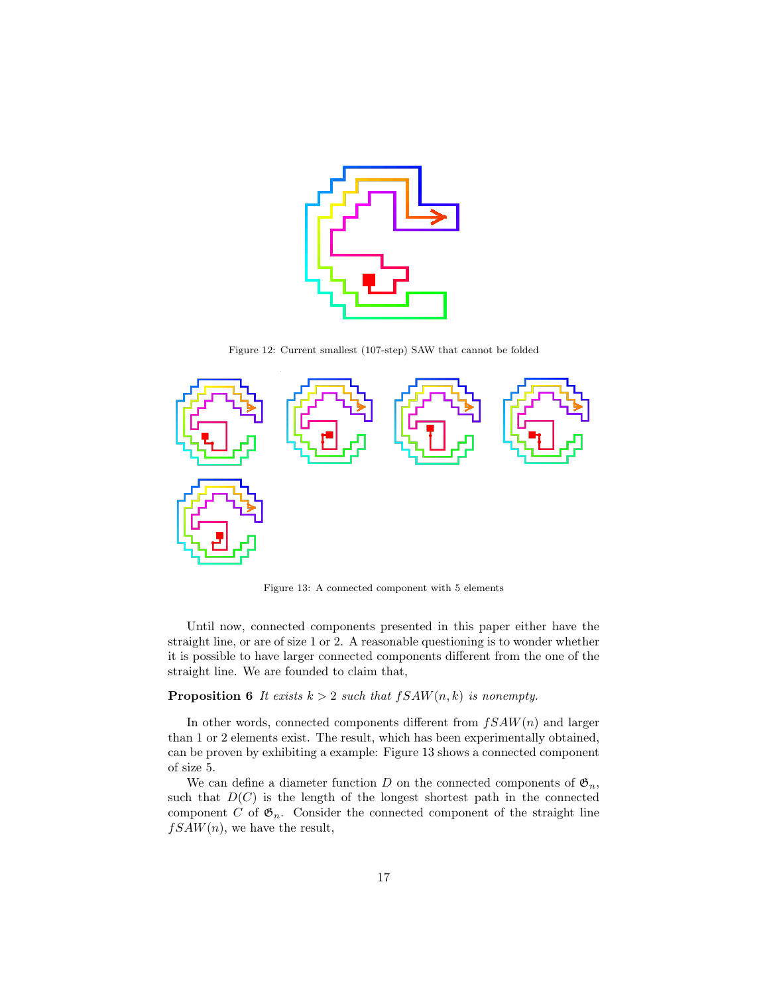

Figure 12: Current smallest (107-step) SAW that cannot be folded



Figure 13: A connected component with 5 elements

Until now, connected components presented in this paper either have the straight line, or are of size 1 or 2. A reasonable questioning is to wonder whether it is possible to have larger connected components different from the one of the straight line. We are founded to claim that,

# **Proposition 6** It exists  $k > 2$  such that  $fSAW(n, k)$  is nonempty.

In other words, connected components different from  $fSAW(n)$  and larger than 1 or 2 elements exist. The result, which has been experimentally obtained, can be proven by exhibiting a example: Figure 13 shows a connected component of size 5.

We can define a diameter function D on the connected components of  $\mathfrak{G}_n$ , such that  $D(C)$  is the length of the longest shortest path in the connected component C of  $\mathfrak{G}_n$ . Consider the connected component of the straight line  $fSAW(n)$ , we have the result,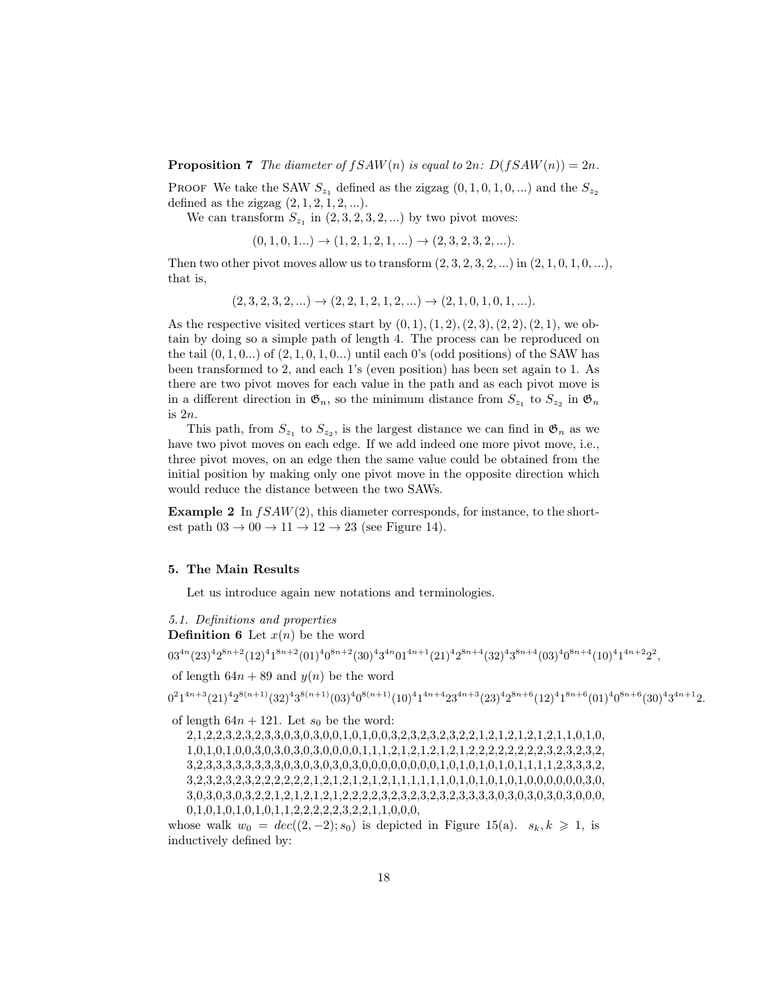**Proposition 7** The diameter of  $fSAW(n)$  is equal to  $2n: D(fSAW(n)) = 2n$ .

PROOF We take the SAW  $S_{z_1}$  defined as the zigzag  $(0, 1, 0, 1, 0, ...)$  and the  $S_{z_2}$ defined as the zigzag  $(2, 1, 2, 1, 2, ...)$ .

We can transform  $S_{z_1}$  in  $(2, 3, 2, 3, 2, ...)$  by two pivot moves:

$$
(0, 1, 0, 1... ) \rightarrow (1, 2, 1, 2, 1, ...) \rightarrow (2, 3, 2, 3, 2, ...).
$$

Then two other pivot moves allow us to transform  $(2, 3, 2, 3, 2, ...)$  in  $(2, 1, 0, 1, 0, ...)$ , that is,

$$
(2,3,2,3,2,...) \rightarrow (2,2,1,2,1,2,...) \rightarrow (2,1,0,1,0,1,...).
$$

As the respective visited vertices start by  $(0, 1), (1, 2), (2, 3), (2, 2), (2, 1)$ , we obtain by doing so a simple path of length 4. The process can be reproduced on the tail  $(0, 1, 0...)$  of  $(2, 1, 0, 1, 0...)$  until each 0's (odd positions) of the SAW has been transformed to 2, and each 1's (even position) has been set again to 1. As there are two pivot moves for each value in the path and as each pivot move is in a different direction in  $\mathfrak{G}_n$ , so the minimum distance from  $S_{z_1}$  to  $S_{z_2}$  in  $\mathfrak{G}_n$ is 2n.

This path, from  $S_{z_1}$  to  $S_{z_2}$ , is the largest distance we can find in  $\mathfrak{G}_n$  as we have two pivot moves on each edge. If we add indeed one more pivot move, i.e., three pivot moves, on an edge then the same value could be obtained from the initial position by making only one pivot move in the opposite direction which would reduce the distance between the two SAWs.

**Example 2** In  $fSAW(2)$ , this diameter corresponds, for instance, to the shortest path  $03 \rightarrow 00 \rightarrow 11 \rightarrow 12 \rightarrow 23$  (see Figure 14).

#### 5. The Main Results

Let us introduce again new notations and terminologies.

5.1. Definitions and properties

**Definition 6** Let  $x(n)$  be the word

 $03^{4n}(23)^42^{8n+2}(12)^41^{8n+2}(01)^40^{8n+2}(30)^43^{4n}01^{4n+1}(21)^42^{8n+4}(32)^43^{8n+4}(03)^40^{8n+4}(10)^41^{4n+2}2^2,$ 

of length  $64n + 89$  and  $y(n)$  be the word

 $0^21^{4n+3}(21)^42^{8(n+1)}(32)^43^{8(n+1)}(03)^40^{8(n+1)}(10)^41^{4n+4}23^{4n+3}(23)^42^{8n+6}(12)^41^{8n+6}(01)^40^{8n+6}(30)^43^{4n+1}2.$ 

of length  $64n + 121$ . Let  $s_0$  be the word:

2,1,2,2,3,2,3,2,3,3,0,3,0,3,0,0,1,0,1,0,0,3,2,3,2,3,2,3,2,2,1,2,1,2,1,2,1,2,1,1,0,1,0, 1,0,1,0,1,0,0,3,0,3,0,3,0,3,0,0,0,0,1,1,1,2,1,2,1,2,1,2,1,2,2,2,2,2,2,2,2,3,2,3,2,3,2, 3,2,3,3,3,3,3,3,3,3,0,3,0,3,0,3,0,3,0,0,0,0,0,0,0,0,1,0,1,0,1,0,1,0,1,1,1,1,2,3,3,3,2, 3,2,3,2,3,2,3,2,2,2,2,2,2,1,2,1,2,1,2,1,2,1,1,1,1,1,1,0,1,0,1,0,1,0,1,0,0,0,0,0,0,3,0, 3,0,3,0,3,0,3,2,2,1,2,1,2,1,2,1,2,2,2,2,3,2,3,2,3,2,3,2,3,3,3,3,0,3,0,3,0,3,0,3,0,0,0, 0,1,0,1,0,1,0,1,0,1,1,2,2,2,2,2,3,2,2,1,1,0,0,0,

whose walk  $w_0 = dec((2, -2); s_0)$  is depicted in Figure 15(a).  $s_k, k \geq 1$ , is inductively defined by: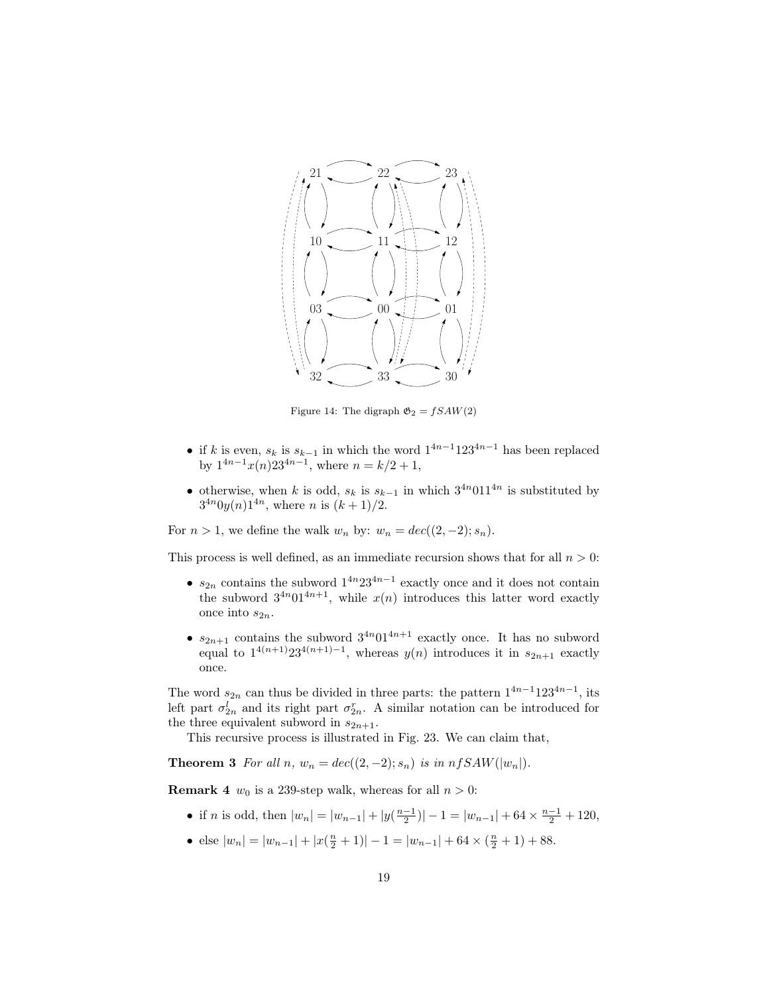

Figure 14: The digraph  $\mathfrak{G}_2 = fSAW(2)$ 

- if k is even,  $s_k$  is  $s_{k-1}$  in which the word  $1^{4n-1}123^{4n-1}$  has been replaced by  $1^{4n-1}x(n)23^{4n-1}$ , where  $n = k/2 + 1$ ,
- otherwise, when k is odd,  $s_k$  is  $s_{k-1}$  in which  $3^{4n}011^{4n}$  is substituted by  $3^{4n}0y(n)1^{4n}$ , where *n* is  $(k+1)/2$ .

For  $n > 1$ , we define the walk  $w_n$  by:  $w_n = dec((2, -2); s_n)$ .

This process is well defined, as an immediate recursion shows that for all  $n > 0$ :

- $s_{2n}$  contains the subword  $1^{4n}23^{4n-1}$  exactly once and it does not contain the subword  $3^{4n}01^{4n+1}$ , while  $x(n)$  introduces this latter word exactly once into  $s_{2n}$ .
- $s_{2n+1}$  contains the subword  $3^{4n}01^{4n+1}$  exactly once. It has no subword equal to  $1^{4(n+1)}23^{4(n+1)-1}$ , whereas  $y(n)$  introduces it in  $s_{2n+1}$  exactly once.

The word  $s_{2n}$  can thus be divided in three parts: the pattern  $1^{4n-1}123^{4n-1}$ , its left part  $\sigma_{2n}^l$  and its right part  $\sigma_{2n}^r$ . A similar notation can be introduced for the three equivalent subword in  $s_{2n+1}$ .

This recursive process is illustrated in Fig. 23. We can claim that,

**Theorem 3** For all n,  $w_n = dec((2, -2); s_n)$  is in  $nfsAW(|w_n|)$ .

**Remark 4**  $w_0$  is a 239-step walk, whereas for all  $n > 0$ :

- if *n* is odd, then  $|w_n| = |w_{n-1}| + |y(\frac{n-1}{2})| 1 = |w_{n-1}| + 64 \times \frac{n-1}{2} + 120$ ,
- else  $|w_n| = |w_{n-1}| + |x(\frac{n}{2} + 1)| 1 = |w_{n-1}| + 64 \times (\frac{n}{2} + 1) + 88.$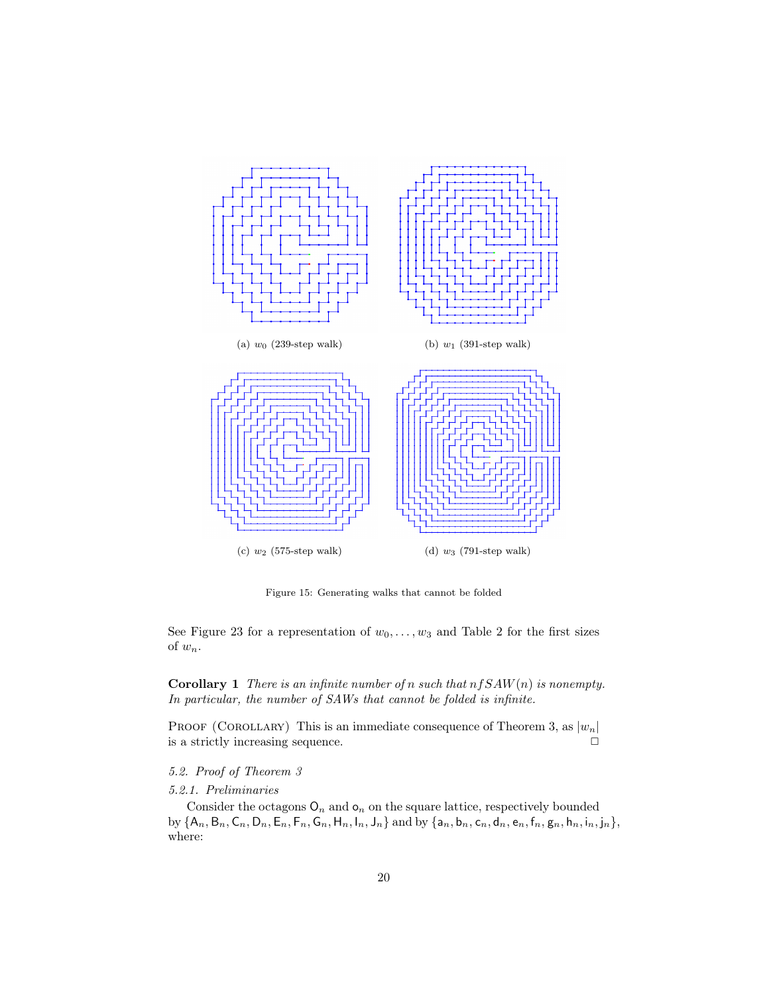

Figure 15: Generating walks that cannot be folded

See Figure 23 for a representation of  $w_0, \ldots, w_3$  and Table 2 for the first sizes of  $w_n$ .

**Corollary 1** There is an infinite number of n such that  $n fSAW(n)$  is nonempty. In particular, the number of SAWs that cannot be folded is infinite.

PROOF (COROLLARY) This is an immediate consequence of Theorem 3, as  $|w_n|$ is a strictly increasing sequence.  $\Box$ 

## 5.2. Proof of Theorem 3

## 5.2.1. Preliminaries

Consider the octagons  $O_n$  and  $O_n$  on the square lattice, respectively bounded by  ${A_n, B_n, C_n, D_n, E_n, F_n, G_n, H_n, I_n, J_n}$  and by  ${a_n, b_n, c_n, d_n, e_n, f_n, g_n, h_n, i_n, j_n}$ , where: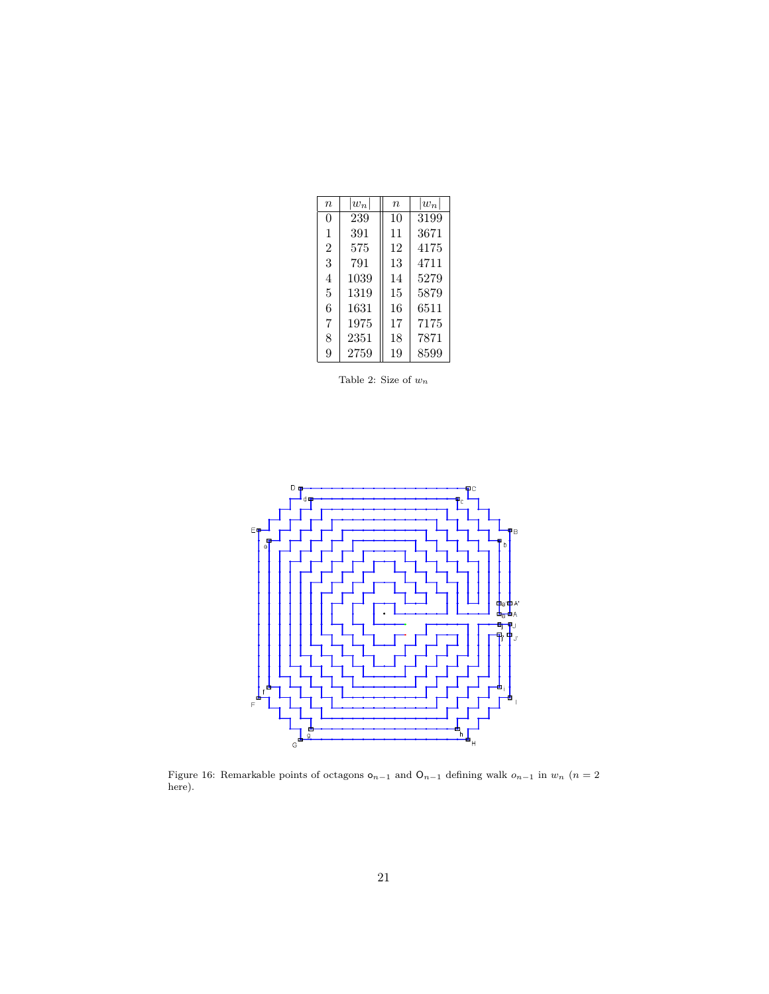| $\boldsymbol{n}$ | $ w_n $ | $\eta$ | $ w_n $ |
|------------------|---------|--------|---------|
| 0                | 239     | 10     | 3199    |
| 1                | 391     | 11     | 3671    |
| $\overline{2}$   | 575     | 12     | 4175    |
| 3                | 791     | 13     | 4711    |
| 4                | 1039    | 14     | 5279    |
| 5                | 1319    | 15     | 5879    |
| 6                | 1631    | 16     | 6511    |
| 7                | 1975    | 17     | 7175    |
| 8                | 2351    | 18     | 7871    |
| 9                | 2759    | 19     | 8599    |

Table 2: Size of  $w_n$ 



Figure 16: Remarkable points of octagons  $o_{n-1}$  and  $O_{n-1}$  defining walk  $o_{n-1}$  in  $w_n$  ( $n=2$ here).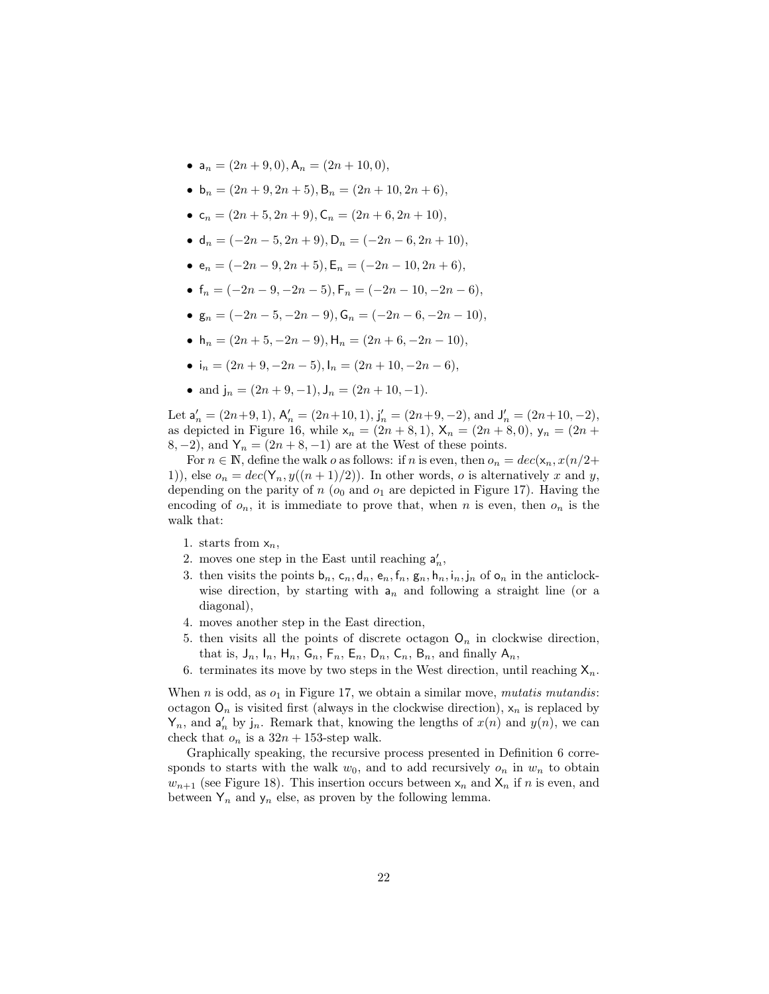- $a_n = (2n + 9, 0), A_n = (2n + 10, 0),$
- $b_n = (2n + 9, 2n + 5), B_n = (2n + 10, 2n + 6),$
- $c_n = (2n + 5, 2n + 9), C_n = (2n + 6, 2n + 10),$
- $d_n = (-2n 5, 2n + 9), D_n = (-2n 6, 2n + 10),$
- $e_n = (-2n 9, 2n + 5), E_n = (-2n 10, 2n + 6),$
- $f_n = (-2n 9, -2n 5), F_n = (-2n 10, -2n 6),$
- $g_n = (-2n 5, -2n 9), G_n = (-2n 6, -2n 10),$
- h<sub>n</sub> =  $(2n + 5, -2n 9),$  H<sub>n</sub> =  $(2n + 6, -2n 10),$
- i<sub>n</sub> =  $(2n + 9, -2n 5),$   $I_n = (2n + 10, -2n 6),$
- and  $j_n = (2n + 9, -1), J_n = (2n + 10, -1).$

Let  $\mathsf{a}'_n = (2n+9, 1), \mathsf{A}'_n = (2n+10, 1), \mathsf{j}'_n = (2n+9, -2), \text{ and } \mathsf{J}'_n = (2n+10, -2),$ as depicted in Figure 16, while  $x_n = (2n + 8, 1), X_n = (2n + 8, 0), y_n = (2n + 8, 1)$ 8, -2), and  $Y_n = (2n + 8, -1)$  are at the West of these points.

For  $n \in \mathbb{N}$ , define the walk o as follows: if n is even, then  $o_n = dec(\mathsf{x}_n, x(n/2+\mathsf{I})$ 1)), else  $o_n = dec(Y_n, y((n+1)/2))$ . In other words, o is alternatively x and y, depending on the parity of  $n$  ( $o_0$  and  $o_1$  are depicted in Figure 17). Having the encoding of  $o_n$ , it is immediate to prove that, when n is even, then  $o_n$  is the walk that:

- 1. starts from  $x_n$ ,
- 2. moves one step in the East until reaching  $a'_n$ ,
- 3. then visits the points  $\mathsf{b}_n$ ,  $\mathsf{c}_n$ ,  $\mathsf{d}_n$ ,  $\mathsf{e}_n$ ,  $\mathsf{f}_n$ ,  $\mathsf{g}_n$ ,  $\mathsf{h}_n$ ,  $\mathsf{i}_n$ ,  $\mathsf{j}_n$  of  $\mathsf{o}_n$  in the anticlockwise direction, by starting with  $a_n$  and following a straight line (or a diagonal),
- 4. moves another step in the East direction,
- 5. then visits all the points of discrete octagon  $O_n$  in clockwise direction, that is,  $J_n$ ,  $I_n$ ,  $H_n$ ,  $G_n$ ,  $F_n$ ,  $E_n$ ,  $D_n$ ,  $C_n$ ,  $B_n$ , and finally  $A_n$ ,
- 6. terminates its move by two steps in the West direction, until reaching  $X_n$ .

When n is odd, as  $o_1$  in Figure 17, we obtain a similar move, mutatis mutandis: octagon  $O_n$  is visited first (always in the clockwise direction),  $x_n$  is replaced by  $Y_n$ , and  $a'_n$  by  $j_n$ . Remark that, knowing the lengths of  $x(n)$  and  $y(n)$ , we can check that  $o_n$  is a  $32n + 153$ -step walk.

Graphically speaking, the recursive process presented in Definition 6 corresponds to starts with the walk  $w_0$ , and to add recursively  $o_n$  in  $w_n$  to obtain  $w_{n+1}$  (see Figure 18). This insertion occurs between  $x_n$  and  $X_n$  if n is even, and between  $Y_n$  and  $y_n$  else, as proven by the following lemma.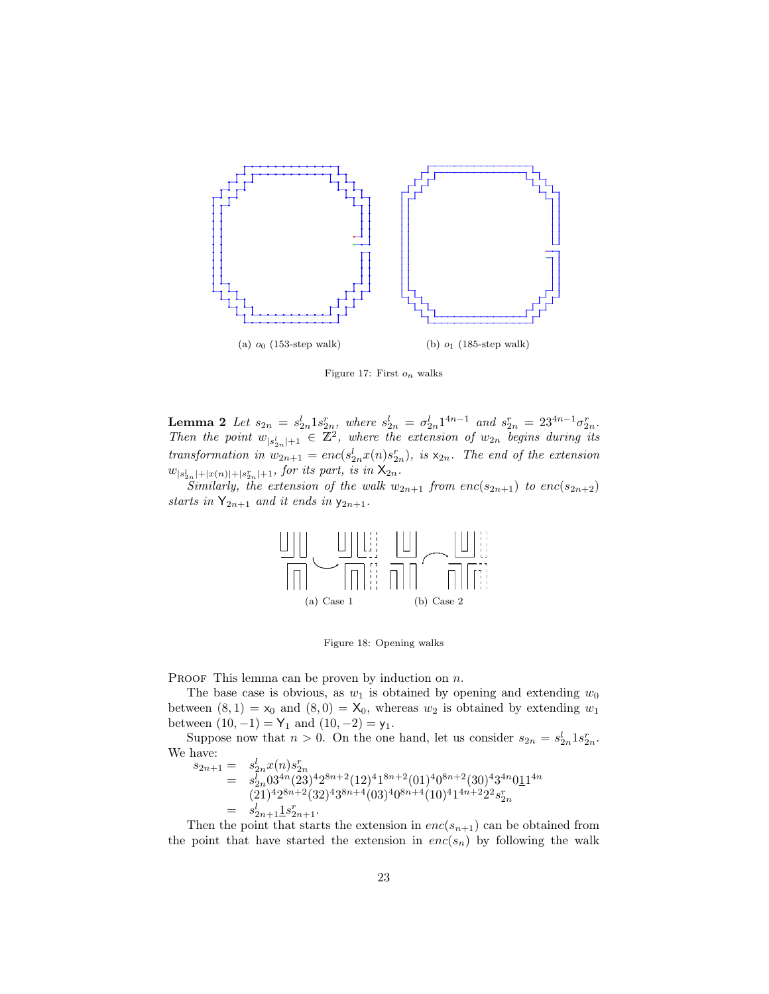

Figure 17: First  $o_n$  walks

**Lemma 2** Let  $s_{2n} = s_{2n}^l 1 s_{2n}^r$ , where  $s_{2n}^l = \sigma_{2n}^l 1^{4n-1}$  and  $s_{2n}^r = 23^{4n-1} \sigma_{2n}^r$ . Then the point  $w_{|s_{2n}^l|+1} \in \mathbb{Z}^2$ , where the extension of  $w_{2n}$  begins during its transformation in  $w_{2n+1} = enc(s_{2n}^l x(n)s_{2n}^r)$ , is  $x_{2n}$ . The end of the extension  $w_{|s_{2n}^l|+|x(n)|+|s_{2n}^r|+1}$ , for its part, is in  $\mathsf{X}_{2n}$ .

Similarly, the extension of the walk  $w_{2n+1}$  from  $enc(s_{2n+1})$  to  $enc(s_{2n+2})$ starts in  $Y_{2n+1}$  and it ends in  $y_{2n+1}$ .



Figure 18: Opening walks

**PROOF** This lemma can be proven by induction on  $n$ .

The base case is obvious, as  $w_1$  is obtained by opening and extending  $w_0$ between  $(8, 1) = x_0$  and  $(8, 0) = X_0$ , whereas  $w_2$  is obtained by extending  $w_1$ between  $(10, -1) = Y_1$  and  $(10, -2) = y_1$ .

Suppose now that  $n > 0$ . On the one hand, let us consider  $s_{2n} = s_{2n}^l 1 s_{2n}^r$ . We have:<br> $s_{2n+1}$  $\mathbf{I}$ 

$$
s_{2n+1} = s_{2n}^l x(n) s_{2n}^r
$$
  
=  $s_{2n}^l 03^{4n} (23)^4 2^{8n+2} (12)^4 1^{8n+2} (01)^4 0^{8n+2} (30)^4 3^{4n} 01^{14n}$   
=  $(21)^4 2^{8n+2} (32)^4 3^{8n+4} (03)^4 0^{8n+4} (10)^4 1^{4n+2} 2^2 s_{2n}^r$   
=  $s_{2n+1}^l 1 s_{2n+1}^r$ .

Then the point that starts the extension in  $enc(s_{n+1})$  can be obtained from the point that have started the extension in  $enc(s_n)$  by following the walk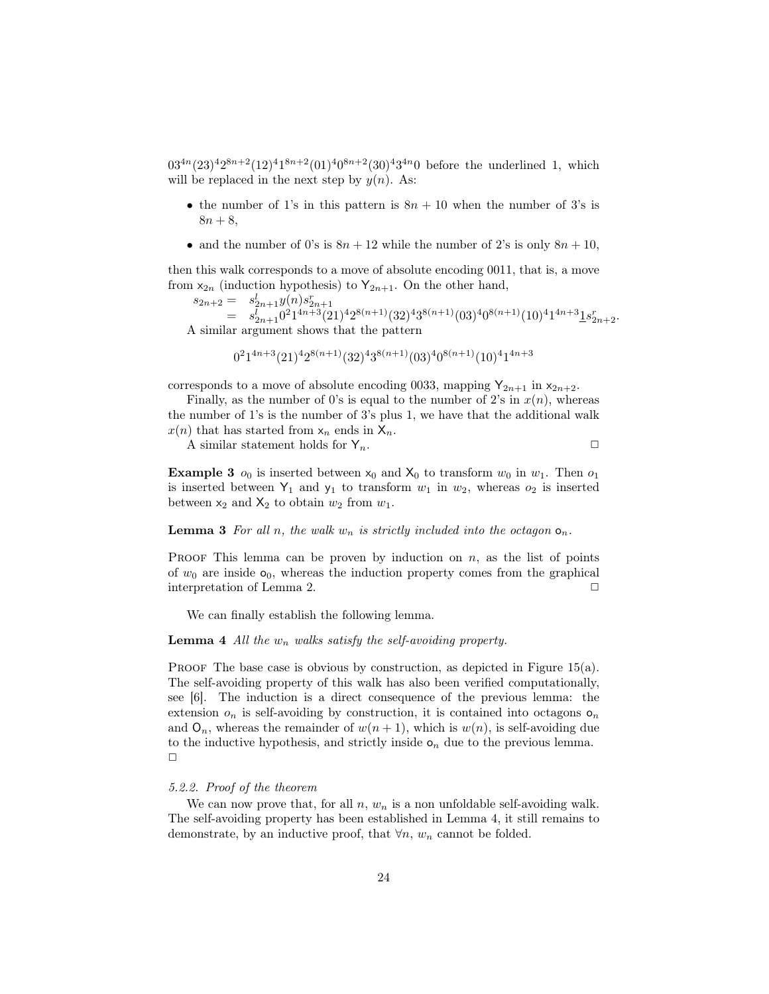$03^{4n}(23)^{4}2^{8n+2}(12)^{4}1^{8n+2}(01)^{4}0^{8n+2}(30)^{4}3^{4n}0$  before the underlined 1, which will be replaced in the next step by  $y(n)$ . As:

- the number of 1's in this pattern is  $8n + 10$  when the number of 3's is  $8n + 8,$
- and the number of 0's is  $8n + 12$  while the number of 2's is only  $8n + 10$ ,

then this walk corresponds to a move of absolute encoding 0011, that is, a move from  $x_{2n}$  (induction hypothesis) to  $Y_{2n+1}$ . On the other hand,

$$
_{2n+2} = s_{2n+1}^l y(n) s_{2n+1}^r
$$

 $s_{2n+2} = s_{2n+1}^l y(n) s_{2n+1}^r$ <br>=  $s_{2n+1}^l 0^2 1^{4n+3} (21)^4 2^{8(n+1)} (32)^4 3^{8(n+1)} (03)^4 0^{8(n+1)} (10)^4 1^{4n+3} \underline{1} s_{2n+2}^r$ . A similar argument shows that the pattern

$$
0^21^{4n+3}(21)^42^{8(n+1)}(32)^43^{8(n+1)}(03)^40^{8(n+1)}(10)^41^{4n+3}
$$

corresponds to a move of absolute encoding 0033, mapping  $Y_{2n+1}$  in  $x_{2n+2}$ .

Finally, as the number of 0's is equal to the number of 2's in  $x(n)$ , whereas the number of 1's is the number of 3's plus 1, we have that the additional walk  $x(n)$  that has started from  $x_n$  ends in  $X_n$ .

A similar statement holds for  $Y_n$ .

**Example 3**  $o_0$  is inserted between  $x_0$  and  $X_0$  to transform  $w_0$  in  $w_1$ . Then  $o_1$ is inserted between  $Y_1$  and  $y_1$  to transform  $w_1$  in  $w_2$ , whereas  $o_2$  is inserted between  $x_2$  and  $X_2$  to obtain  $w_2$  from  $w_1$ .

## **Lemma 3** For all n, the walk  $w_n$  is strictly included into the octagon  $o_n$ .

PROOF This lemma can be proven by induction on  $n$ , as the list of points of  $w_0$  are inside  $\mathsf{o}_0$ , whereas the induction property comes from the graphical interpretation of Lemma 2.

We can finally establish the following lemma.

## **Lemma 4** All the  $w_n$  walks satisfy the self-avoiding property.

PROOF The base case is obvious by construction, as depicted in Figure  $15(a)$ . The self-avoiding property of this walk has also been verified computationally, see [6]. The induction is a direct consequence of the previous lemma: the extension  $o_n$  is self-avoiding by construction, it is contained into octagons  $o_n$ and  $\mathsf{O}_n$ , whereas the remainder of  $w(n + 1)$ , which is  $w(n)$ , is self-avoiding due to the inductive hypothesis, and strictly inside  $o_n$  due to the previous lemma.  $\Box$ 

#### 5.2.2. Proof of the theorem

We can now prove that, for all  $n, w_n$  is a non unfoldable self-avoiding walk. The self-avoiding property has been established in Lemma 4, it still remains to demonstrate, by an inductive proof, that  $\forall n, w_n$  cannot be folded.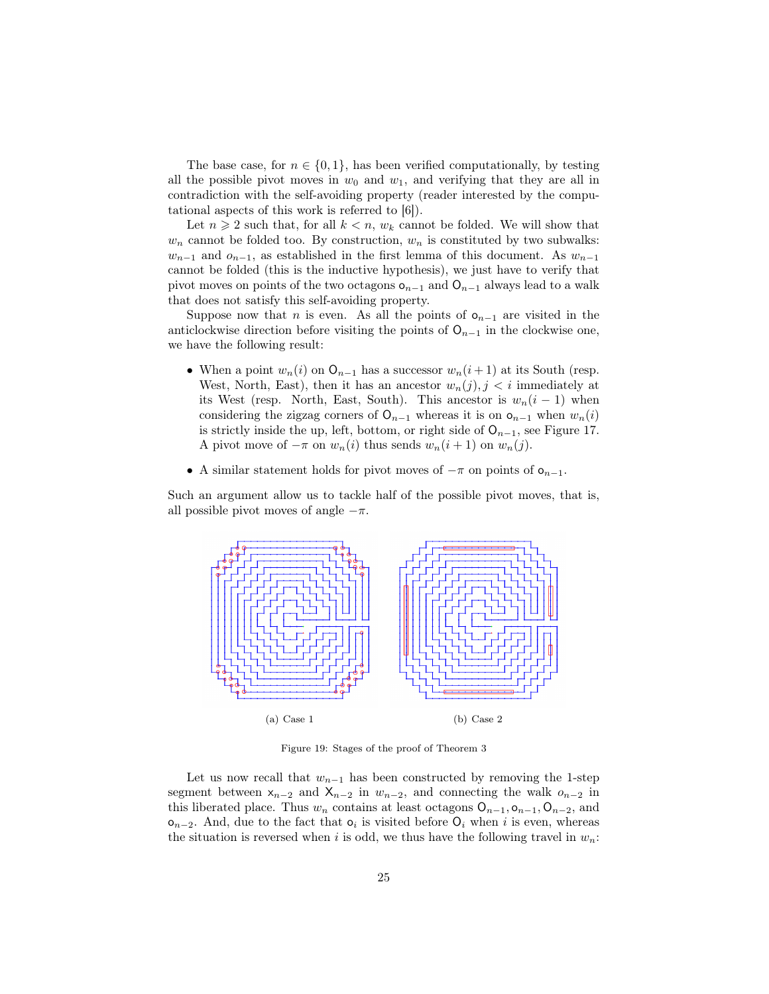The base case, for  $n \in \{0,1\}$ , has been verified computationally, by testing all the possible pivot moves in  $w_0$  and  $w_1$ , and verifying that they are all in contradiction with the self-avoiding property (reader interested by the computational aspects of this work is referred to [6]).

Let  $n \geq 2$  such that, for all  $k < n$ ,  $w_k$  cannot be folded. We will show that  $w_n$  cannot be folded too. By construction,  $w_n$  is constituted by two subwalks:  $w_{n-1}$  and  $o_{n-1}$ , as established in the first lemma of this document. As  $w_{n-1}$ cannot be folded (this is the inductive hypothesis), we just have to verify that pivot moves on points of the two octagons  $o_{n-1}$  and  $O_{n-1}$  always lead to a walk that does not satisfy this self-avoiding property.

Suppose now that *n* is even. As all the points of  $o_{n-1}$  are visited in the anticlockwise direction before visiting the points of  $O_{n-1}$  in the clockwise one, we have the following result:

- When a point  $w_n(i)$  on  $O_{n-1}$  has a successor  $w_n(i+1)$  at its South (resp. West, North, East), then it has an ancestor  $w_n(j)$ ,  $j < i$  immediately at its West (resp. North, East, South). This ancestor is  $w_n(i-1)$  when considering the zigzag corners of  $O_{n-1}$  whereas it is on  $O_{n-1}$  when  $w_n(i)$ is strictly inside the up, left, bottom, or right side of  $O_{n-1}$ , see Figure 17. A pivot move of  $-\pi$  on  $w_n(i)$  thus sends  $w_n(i+1)$  on  $w_n(j)$ .
- A similar statement holds for pivot moves of  $-\pi$  on points of  $o_{n-1}$ .

Such an argument allow us to tackle half of the possible pivot moves, that is, all possible pivot moves of angle  $-\pi$ .



Figure 19: Stages of the proof of Theorem 3

Let us now recall that  $w_{n-1}$  has been constructed by removing the 1-step segment between  $x_{n-2}$  and  $X_{n-2}$  in  $w_{n-2}$ , and connecting the walk  $o_{n-2}$  in this liberated place. Thus  $w_n$  contains at least octagons  $O_{n-1}, O_{n-1}, O_{n-2}$ , and  $\mathsf{o}_{n-2}$ . And, due to the fact that  $\mathsf{o}_i$  is visited before  $\mathsf{O}_i$  when i is even, whereas the situation is reversed when i is odd, we thus have the following travel in  $w_n$ :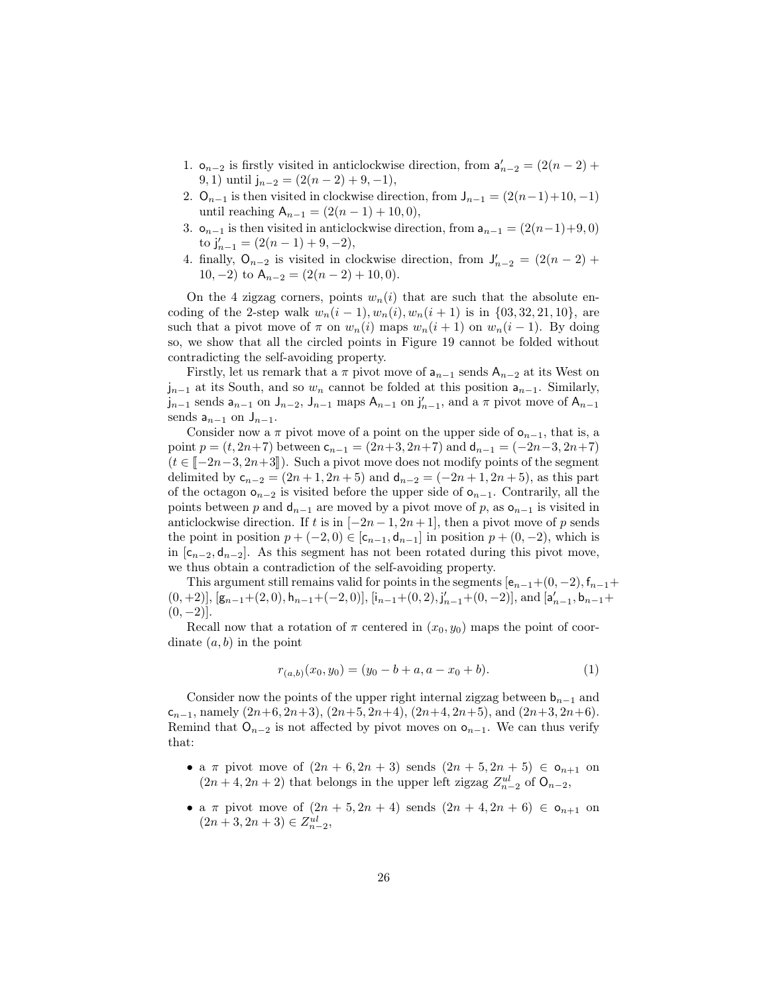- 1.  $\mathsf{o}_{n-2}$  is firstly visited in anticlockwise direction, from  $\mathsf{a}'_{n-2} = (2(n-2) +$ 9, 1) until  $j_{n-2} = (2(n-2) + 9, -1),$
- 2. O<sub>n−1</sub> is then visited in clockwise direction, from  $J_{n-1} = (2(n-1)+10, -1)$ until reaching  $A_{n-1} = (2(n - 1) + 10, 0),$
- 3.  $\mathsf{o}_{n-1}$  is then visited in anticlockwise direction, from  $\mathsf{a}_{n-1} = (2(n-1)+9, 0)$ to  $j'_{n-1} = (2(n-1) + 9, -2),$
- 4. finally,  $O_{n-2}$  is visited in clockwise direction, from  $J'_{n-2} = (2(n-2) +$ 10, -2) to  $A_{n-2} = (2(n-2) + 10, 0)$ .

On the 4 zigzag corners, points  $w_n(i)$  that are such that the absolute encoding of the 2-step walk  $w_n(i-1), w_n(i), w_n(i+1)$  is in  $\{03, 32, 21, 10\}$ , are such that a pivot move of  $\pi$  on  $w_n(i)$  maps  $w_n(i + 1)$  on  $w_n(i - 1)$ . By doing so, we show that all the circled points in Figure 19 cannot be folded without contradicting the self-avoiding property.

Firstly, let us remark that a  $\pi$  pivot move of  $a_{n-1}$  sends  $A_{n-2}$  at its West on  $j_{n-1}$  at its South, and so  $w_n$  cannot be folded at this position  $a_{n-1}$ . Similarly,  $j_{n-1}$  sends  $a_{n-1}$  on  $J_{n-2}$ ,  $J_{n-1}$  maps  $A_{n-1}$  on  $j'_{n-1}$ , and a  $\pi$  pivot move of  $A_{n-1}$ sends  $a_{n-1}$  on  $J_{n-1}$ .

Consider now a  $\pi$  pivot move of a point on the upper side of  $\mathsf{o}_{n-1}$ , that is, a point  $p = (t, 2n+7)$  between  $c_{n-1} = (2n+3, 2n+7)$  and  $d_{n-1} = (-2n-3, 2n+7)$  $(t \in \llbracket -2n-3, 2n+3 \rrbracket)$ . Such a pivot move does not modify points of the segment delimited by  $c_{n-2} = (2n+1, 2n+5)$  and  $d_{n-2} = (-2n+1, 2n+5)$ , as this part of the octagon  $o_{n-2}$  is visited before the upper side of  $o_{n-1}$ . Contrarily, all the points between p and  $d_{n-1}$  are moved by a pivot move of p, as  $o_{n-1}$  is visited in anticlockwise direction. If t is in  $[-2n-1, 2n+1]$ , then a pivot move of p sends the point in position  $p + (-2, 0) \in [c_{n-1}, d_{n-1}]$  in position  $p + (0, -2)$ , which is in  $[c_{n-2}, d_{n-2}]$ . As this segment has not been rotated during this pivot move, we thus obtain a contradiction of the self-avoiding property.

This argument still remains valid for points in the segments  $[e_{n-1}+(0,-2), f_{n-1}+$  $(0, +2)$ ],  $[g_{n-1}+(2, 0), h_{n-1}+(-2, 0)]$ ,  $[i_{n-1}+(0, 2), j'_{n-1}+(0, -2)]$ , and  $[a'_{n-1}, b_{n-1}+$  $(0, -2)$ ].

Recall now that a rotation of  $\pi$  centered in  $(x_0, y_0)$  maps the point of coordinate  $(a, b)$  in the point

$$
r_{(a,b)}(x_0, y_0) = (y_0 - b + a, a - x_0 + b). \tag{1}
$$

Consider now the points of the upper right internal zigzag between  $b_{n-1}$  and  $c_{n-1}$ , namely  $(2n+6, 2n+3)$ ,  $(2n+5, 2n+4)$ ,  $(2n+4, 2n+5)$ , and  $(2n+3, 2n+6)$ . Remind that  $O_{n-2}$  is not affected by pivot moves on  $o_{n-1}$ . We can thus verify that:

- a  $\pi$  pivot move of  $(2n + 6, 2n + 3)$  sends  $(2n + 5, 2n + 5) \in \mathfrak{o}_{n+1}$  on  $(2n+4, 2n+2)$  that belongs in the upper left zigzag  $Z_{n-2}^{ul}$  of  $O_{n-2}$ ,
- a  $\pi$  pivot move of  $(2n + 5, 2n + 4)$  sends  $(2n + 4, 2n + 6) \in o_{n+1}$  on  $(2n+3, 2n+3) \in Z_{n-2}^{ul}$ ,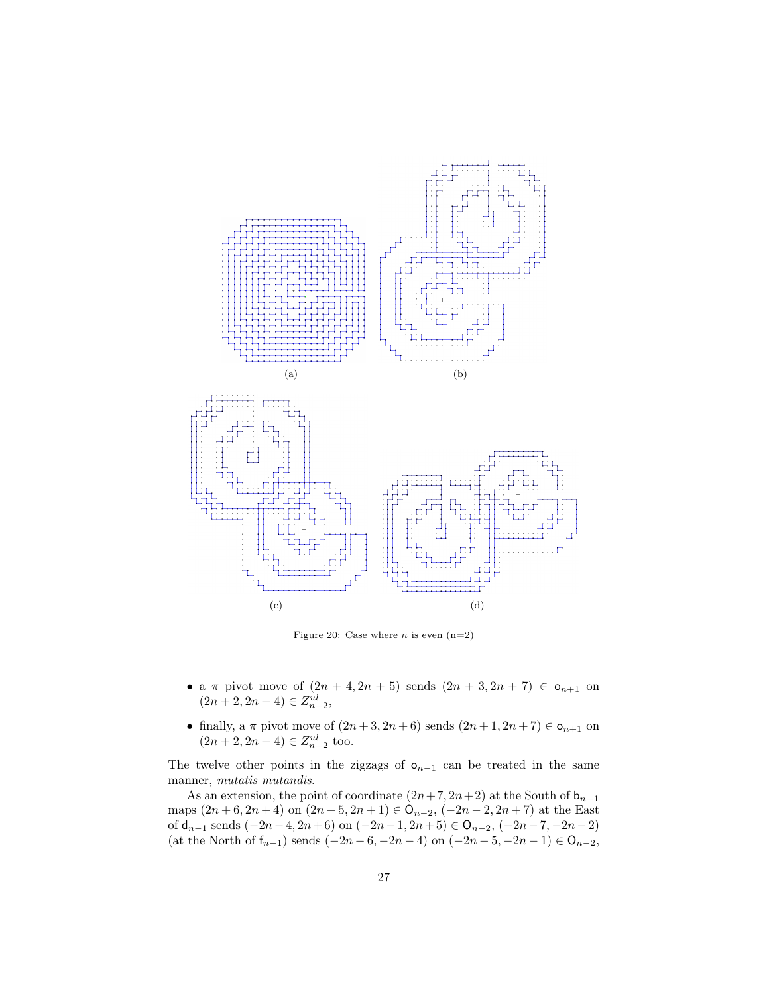

Figure 20: Case where  $n$  is even  $(n=2)$ 

- a  $\pi$  pivot move of  $(2n + 4, 2n + 5)$  sends  $(2n + 3, 2n + 7) \in o_{n+1}$  on  $(2n+2, 2n+4) \in Z_{n-2}^{ul}$ ,
- finally, a  $\pi$  pivot move of  $(2n+3, 2n+6)$  sends  $(2n+1, 2n+7) \in \mathsf{o}_{n+1}$  on  $(2n+2, 2n+4) \in Z_{n-2}^{ul}$  too.

The twelve other points in the zigzags of  $o_{n-1}$  can be treated in the same manner, mutatis mutandis.

As an extension, the point of coordinate  $(2n+7, 2n+2)$  at the South of  $b_{n-1}$ maps  $(2n+6, 2n+4)$  on  $(2n+5, 2n+1) \in \mathcal{O}_{n-2}$ ,  $(-2n-2, 2n+7)$  at the East of  $\mathsf{d}_{n-1}$  sends  $(-2n-4,2n+6)$  on  $(-2n-1,2n+5) \in \mathsf{O}_{n-2},\,(-2n-7,-2n-2)$ (at the North of  $f_{n-1}$ ) sends  $(-2n-6, -2n-4)$  on  $(-2n-5, -2n-1) \in O_{n-2}$ ,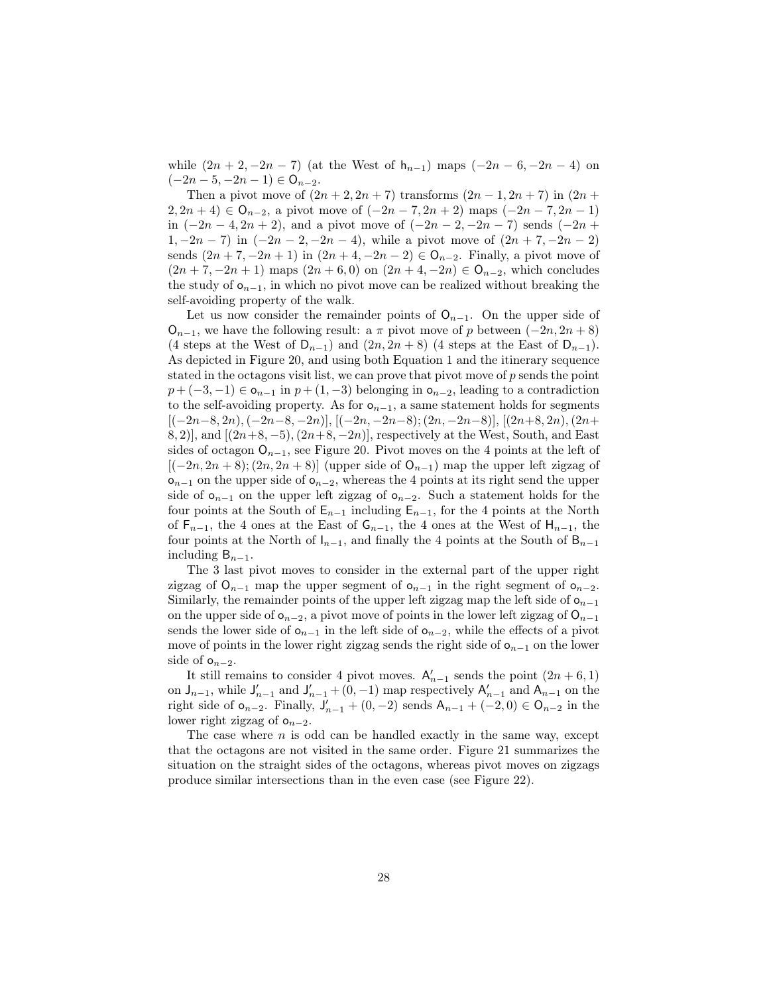while  $(2n + 2, -2n - 7)$  (at the West of  $h_{n-1}$ ) maps  $(-2n - 6, -2n - 4)$  on  $(-2n-5, -2n-1) \in \mathsf{O}_{n-2}.$ 

Then a pivot move of  $(2n + 2, 2n + 7)$  transforms  $(2n - 1, 2n + 7)$  in  $(2n +$  $2, 2n + 4) \in \mathsf{O}_{n-2}$ , a pivot move of  $(-2n - 7, 2n + 2)$  maps  $(-2n - 7, 2n - 1)$ in  $(-2n-4, 2n+2)$ , and a pivot move of  $(-2n-2, -2n-7)$  sends  $(-2n+$ 1,  $-2n - 7$ ) in  $(-2n - 2, -2n - 4)$ , while a pivot move of  $(2n + 7, -2n - 2)$ sends  $(2n + 7, -2n + 1)$  in  $(2n + 4, -2n - 2) \in \mathcal{O}_{n-2}$ . Finally, a pivot move of  $(2n + 7, -2n + 1)$  maps  $(2n + 6, 0)$  on  $(2n + 4, -2n) \in \mathbb{O}_{n-2}$ , which concludes the study of  $o_{n-1}$ , in which no pivot move can be realized without breaking the self-avoiding property of the walk.

Let us now consider the remainder points of  $O_{n-1}$ . On the upper side of  $O_{n-1}$ , we have the following result: a  $\pi$  pivot move of p between  $(-2n, 2n + 8)$ (4 steps at the West of  $D_{n-1}$ ) and  $(2n, 2n+8)$  (4 steps at the East of  $D_{n-1}$ ). As depicted in Figure 20, and using both Equation 1 and the itinerary sequence stated in the octagons visit list, we can prove that pivot move of  $p$  sends the point  $p + (-3, -1) \in \mathfrak{o}_{n-1}$  in  $p + (1, -3)$  belonging in  $\mathfrak{o}_{n-2}$ , leading to a contradiction to the self-avoiding property. As for  $o_{n-1}$ , a same statement holds for segments  $[(-2n-8, 2n), (-2n-8, -2n)], [(-2n, -2n-8); (2n, -2n-8)], [(2n+8, 2n), (2n+8, -2n)]$ 8, 2)], and  $[(2n+8, -5), (2n+8, -2n)]$ , respectively at the West, South, and East sides of octagon  $O_{n-1}$ , see Figure 20. Pivot moves on the 4 points at the left of  $[(-2n, 2n+8); (2n, 2n+8)]$  (upper side of  $O_{n-1}$ ) map the upper left zigzag of  $o_{n-1}$  on the upper side of  $o_{n-2}$ , whereas the 4 points at its right send the upper side of  $o_{n-1}$  on the upper left zigzag of  $o_{n-2}$ . Such a statement holds for the four points at the South of  $E_{n-1}$  including  $E_{n-1}$ , for the 4 points at the North of  $F_{n-1}$ , the 4 ones at the East of  $G_{n-1}$ , the 4 ones at the West of  $H_{n-1}$ , the four points at the North of  $I_{n-1}$ , and finally the 4 points at the South of B<sub>n−1</sub> including  $B_{n-1}$ .

The 3 last pivot moves to consider in the external part of the upper right zigzag of  $O_{n-1}$  map the upper segment of  $O_{n-1}$  in the right segment of  $O_{n-2}$ . Similarly, the remainder points of the upper left zigzag map the left side of  $\mathsf{o}_{n-1}$ on the upper side of  $\mathsf{o}_{n-2}$ , a pivot move of points in the lower left zigzag of  $\mathsf{O}_{n-1}$ sends the lower side of  $o_{n-1}$  in the left side of  $o_{n-2}$ , while the effects of a pivot move of points in the lower right zigzag sends the right side of  $\mathbf{o}_{n-1}$  on the lower side of  $o_{n-2}$ .

It still remains to consider 4 pivot moves.  $\mathsf{A}'_{n-1}$  sends the point  $(2n+6,1)$ on  $J_{n-1}$ , while  $J'_{n-1}$  and  $J'_{n-1}$  + (0, -1) map respectively  $A'_{n-1}$  and  $A_{n-1}$  on the right side of  $o_{n-2}$ . Finally,  $J'_{n-1} + (0, -2)$  sends  $A_{n-1} + (-2, 0) \in O_{n-2}$  in the lower right zigzag of  $o_{n-2}$ .

The case where  $n$  is odd can be handled exactly in the same way, except that the octagons are not visited in the same order. Figure 21 summarizes the situation on the straight sides of the octagons, whereas pivot moves on zigzags produce similar intersections than in the even case (see Figure 22).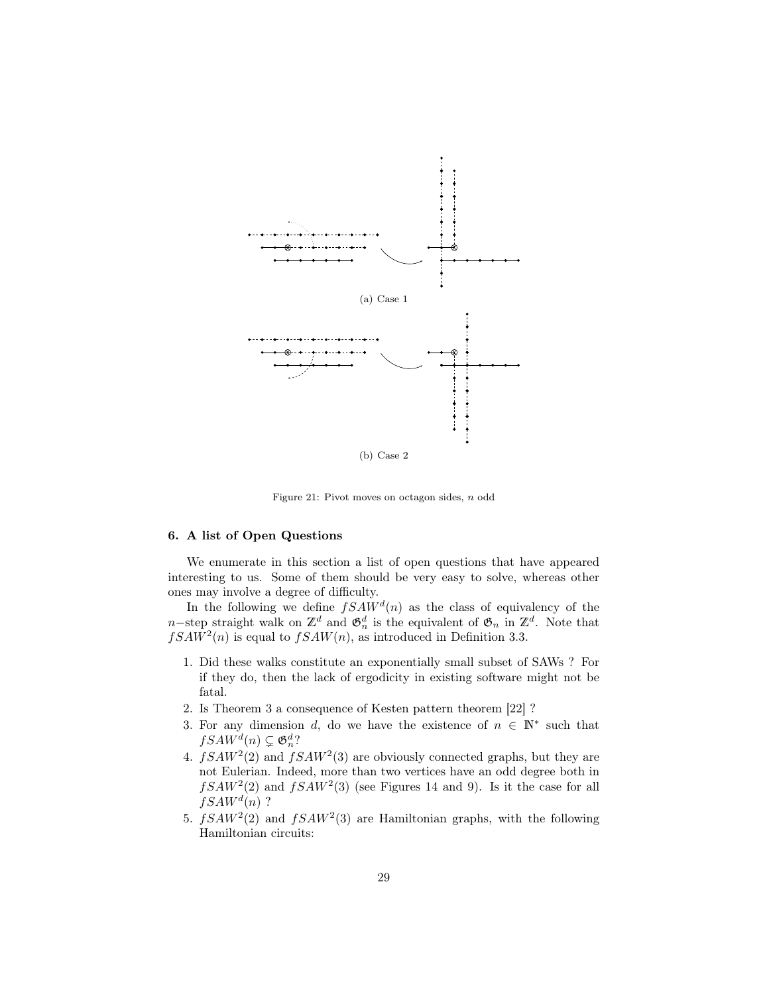

Figure 21: Pivot moves on octagon sides, n odd

## 6. A list of Open Questions

We enumerate in this section a list of open questions that have appeared interesting to us. Some of them should be very easy to solve, whereas other ones may involve a degree of difficulty.

In the following we define  $fSAW<sup>d</sup>(n)$  as the class of equivalency of the n–step straight walk on  $\mathbb{Z}^d$  and  $\mathfrak{G}_n^d$  is the equivalent of  $\mathfrak{G}_n$  in  $\mathbb{Z}^d$ . Note that  $fSAW^{2}(n)$  is equal to  $fSAW(n)$ , as introduced in Definition 3.3.

- 1. Did these walks constitute an exponentially small subset of SAWs ? For if they do, then the lack of ergodicity in existing software might not be fatal.
- 2. Is Theorem 3 a consequence of Kesten pattern theorem [22] ?
- 3. For any dimension d, do we have the existence of  $n \in \mathbb{N}^*$  such that  $fSAW^d(n) \subsetneq \mathfrak{G}_n^d$ ?
- 4.  $fSAW^2(2)$  and  $fSAW^2(3)$  are obviously connected graphs, but they are not Eulerian. Indeed, more than two vertices have an odd degree both in  $fSAW^2(2)$  and  $fSAW^2(3)$  (see Figures 14 and 9). Is it the case for all  $fSAW^d(n)$  ?
- 5.  $fSAW^2(2)$  and  $fSAW^2(3)$  are Hamiltonian graphs, with the following Hamiltonian circuits: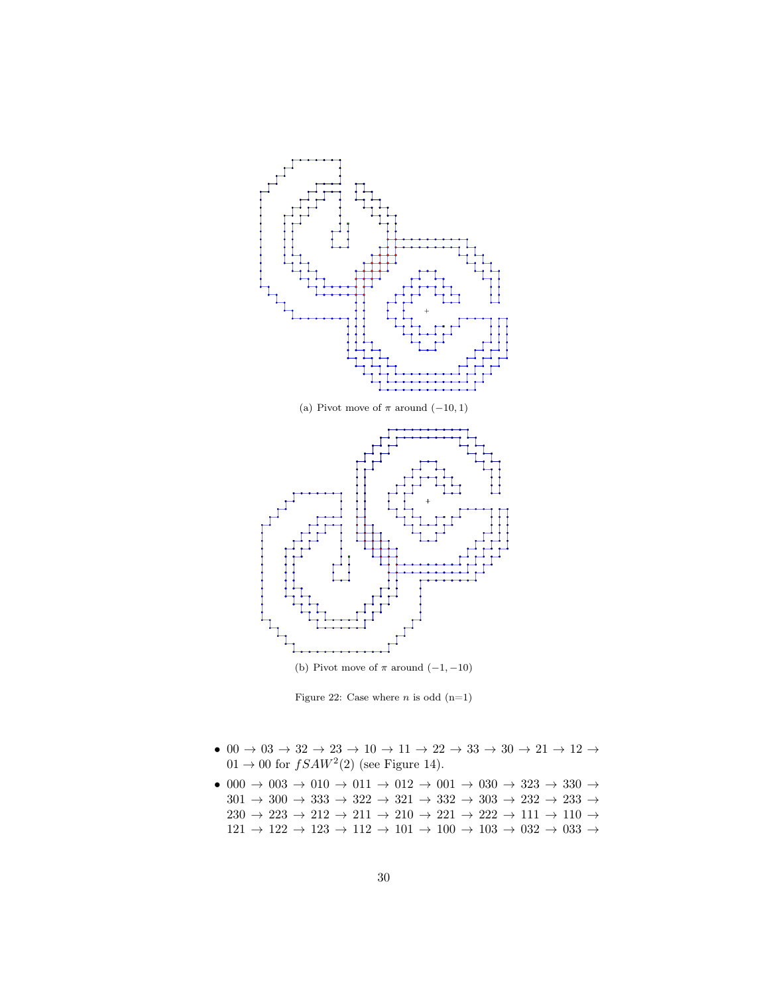

Figure 22: Case where  $n$  is odd  $(n=1)$ 

- $\bullet\ 00\rightarrow 03\rightarrow 32\rightarrow 23\rightarrow 10\rightarrow 11\rightarrow 22\rightarrow 33\rightarrow 30\rightarrow 21\rightarrow 12\rightarrow$  $01 \rightarrow 00$  for  $fSAW^2(2)$  (see Figure 14).
- $\bullet$  000  $\rightarrow$  003  $\rightarrow$  010  $\rightarrow$  011  $\rightarrow$  012  $\rightarrow$  001  $\rightarrow$  030  $\rightarrow$  323  $\rightarrow$  330  $\rightarrow$  $301 \rightarrow 300 \rightarrow 333 \rightarrow 322 \rightarrow 321 \rightarrow 332 \rightarrow 303 \rightarrow 232 \rightarrow 233 \rightarrow$  $230 \,\rightarrow\, 223 \,\rightarrow\, 212 \,\rightarrow\, 211 \,\rightarrow\, 210 \,\rightarrow\, 221 \,\rightarrow\, 222 \,\rightarrow\, 111 \,\rightarrow\, 110 \,\rightarrow\,$  $121 \rightarrow 122 \rightarrow 123 \rightarrow 112 \rightarrow 101 \rightarrow 100 \rightarrow 103 \rightarrow 032 \rightarrow 033 \rightarrow$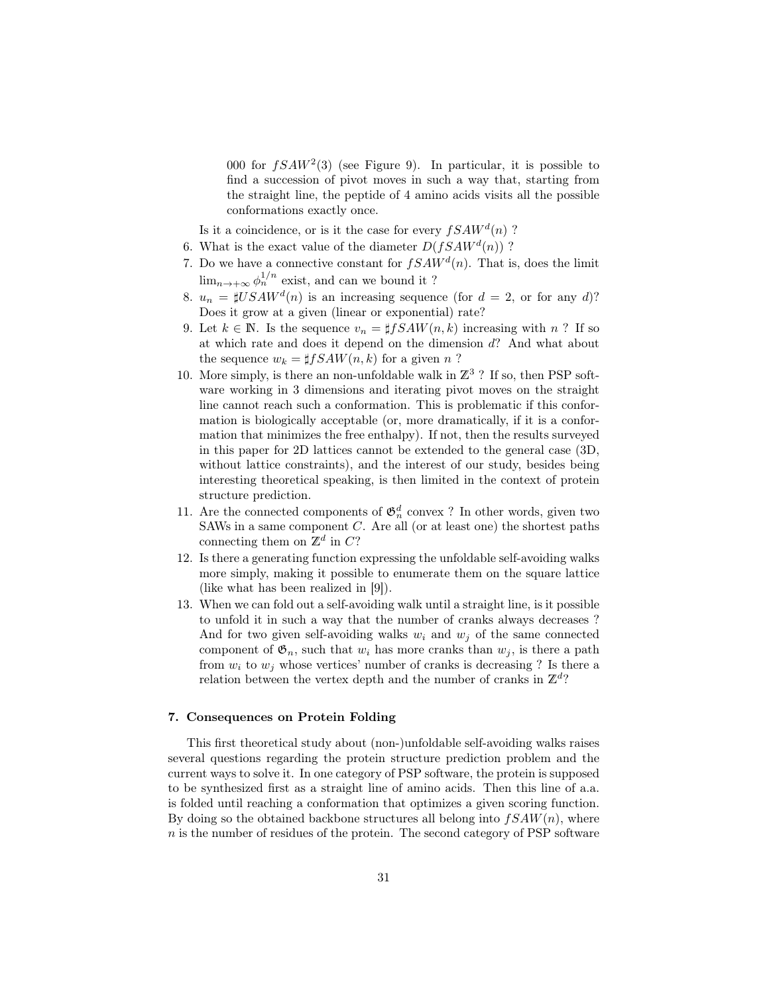000 for  $fSAW^2(3)$  (see Figure 9). In particular, it is possible to find a succession of pivot moves in such a way that, starting from the straight line, the peptide of 4 amino acids visits all the possible conformations exactly once.

Is it a coincidence, or is it the case for every  $fSAW<sup>d</sup>(n)$ ?

- 6. What is the exact value of the diameter  $D(fSAW^d(n))$ ?
- 7. Do we have a connective constant for  $fSAW<sup>d</sup>(n)$ . That is, does the limit  $\lim_{n\to+\infty}\phi_n^{1/n}$  exist, and can we bound it ?
- 8.  $u_n = \sharp USAW^d(n)$  is an increasing sequence (for  $d = 2$ , or for any d)? Does it grow at a given (linear or exponential) rate?
- 9. Let  $k \in \mathbb{N}$ . Is the sequence  $v_n = \sharp fSAW(n, k)$  increasing with n? If so at which rate and does it depend on the dimension d? And what about the sequence  $w_k = \sharp fSAW(n, k)$  for a given n ?
- 10. More simply, is there an non-unfoldable walk in  $\mathbb{Z}^3$  ? If so, then PSP software working in 3 dimensions and iterating pivot moves on the straight line cannot reach such a conformation. This is problematic if this conformation is biologically acceptable (or, more dramatically, if it is a conformation that minimizes the free enthalpy). If not, then the results surveyed in this paper for 2D lattices cannot be extended to the general case (3D, without lattice constraints), and the interest of our study, besides being interesting theoretical speaking, is then limited in the context of protein structure prediction.
- 11. Are the connected components of  $\mathfrak{G}_n^d$  convex ? In other words, given two SAWs in a same component  $C$ . Are all (or at least one) the shortest paths connecting them on  $\mathbb{Z}^d$  in C?
- 12. Is there a generating function expressing the unfoldable self-avoiding walks more simply, making it possible to enumerate them on the square lattice (like what has been realized in [9]).
- 13. When we can fold out a self-avoiding walk until a straight line, is it possible to unfold it in such a way that the number of cranks always decreases ? And for two given self-avoiding walks  $w_i$  and  $w_j$  of the same connected component of  $\mathfrak{G}_n$ , such that  $w_i$  has more cranks than  $w_j$ , is there a path from  $w_i$  to  $w_j$  whose vertices' number of cranks is decreasing ? Is there a relation between the vertex depth and the number of cranks in  $\mathbb{Z}^d$ ?

## 7. Consequences on Protein Folding

This first theoretical study about (non-)unfoldable self-avoiding walks raises several questions regarding the protein structure prediction problem and the current ways to solve it. In one category of PSP software, the protein is supposed to be synthesized first as a straight line of amino acids. Then this line of a.a. is folded until reaching a conformation that optimizes a given scoring function. By doing so the obtained backbone structures all belong into  $fSAW(n)$ , where  $n$  is the number of residues of the protein. The second category of PSP software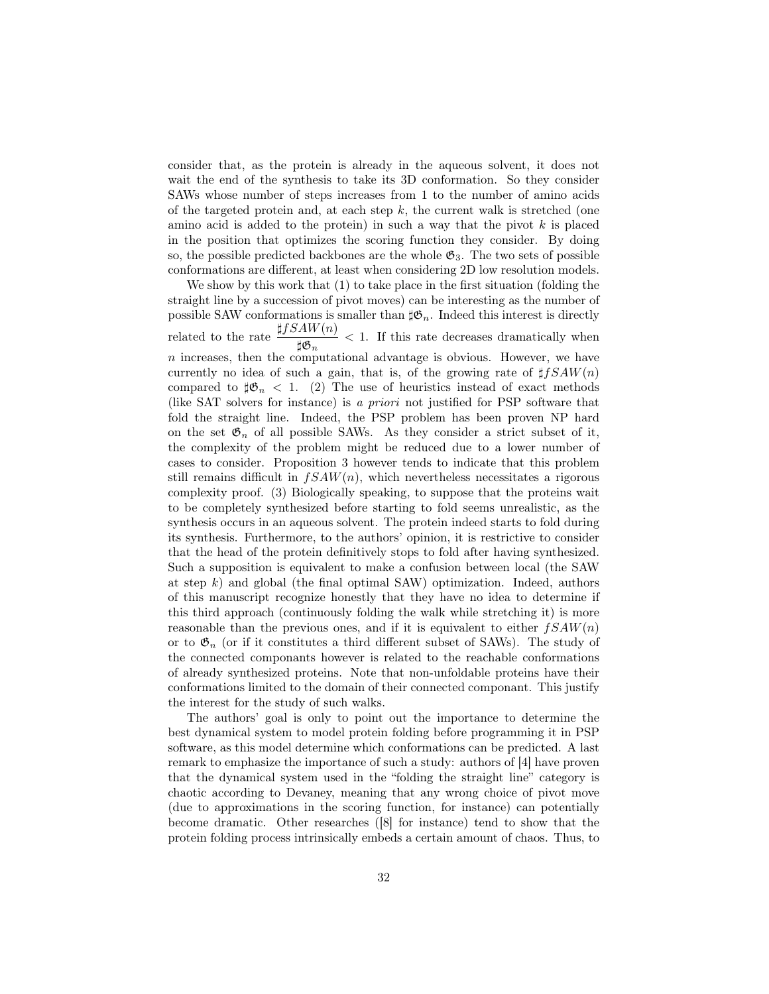consider that, as the protein is already in the aqueous solvent, it does not wait the end of the synthesis to take its 3D conformation. So they consider SAWs whose number of steps increases from 1 to the number of amino acids of the targeted protein and, at each step  $k$ , the current walk is stretched (one amino acid is added to the protein) in such a way that the pivot  $k$  is placed in the position that optimizes the scoring function they consider. By doing so, the possible predicted backbones are the whole  $\mathfrak{G}_3$ . The two sets of possible conformations are different, at least when considering 2D low resolution models.

We show by this work that  $(1)$  to take place in the first situation (folding the straight line by a succession of pivot moves) can be interesting as the number of possible SAW conformations is smaller than  $\sharp \mathfrak{G}_n$ . Indeed this interest is directly related to the rate  $\frac{\sharp fSAW(n)}{\sharp \mathfrak{G}_n} < 1$ . If this rate decreases dramatically when  $n$  increases, then the computational advantage is obvious. However, we have currently no idea of such a gain, that is, of the growing rate of  $\sharp fSAW(n)$ compared to  $\sharp \mathfrak{G}_n < 1$ . (2) The use of heuristics instead of exact methods (like SAT solvers for instance) is a priori not justified for PSP software that fold the straight line. Indeed, the PSP problem has been proven NP hard on the set  $\mathfrak{G}_n$  of all possible SAWs. As they consider a strict subset of it, the complexity of the problem might be reduced due to a lower number of cases to consider. Proposition 3 however tends to indicate that this problem still remains difficult in  $fSAW(n)$ , which nevertheless necessitates a rigorous complexity proof. (3) Biologically speaking, to suppose that the proteins wait to be completely synthesized before starting to fold seems unrealistic, as the synthesis occurs in an aqueous solvent. The protein indeed starts to fold during its synthesis. Furthermore, to the authors' opinion, it is restrictive to consider that the head of the protein definitively stops to fold after having synthesized. Such a supposition is equivalent to make a confusion between local (the SAW at step  $k$ ) and global (the final optimal SAW) optimization. Indeed, authors of this manuscript recognize honestly that they have no idea to determine if this third approach (continuously folding the walk while stretching it) is more reasonable than the previous ones, and if it is equivalent to either  $fSAW(n)$ or to  $\mathfrak{G}_n$  (or if it constitutes a third different subset of SAWs). The study of the connected componants however is related to the reachable conformations of already synthesized proteins. Note that non-unfoldable proteins have their conformations limited to the domain of their connected componant. This justify the interest for the study of such walks.

The authors' goal is only to point out the importance to determine the best dynamical system to model protein folding before programming it in PSP software, as this model determine which conformations can be predicted. A last remark to emphasize the importance of such a study: authors of [4] have proven that the dynamical system used in the "folding the straight line" category is chaotic according to Devaney, meaning that any wrong choice of pivot move (due to approximations in the scoring function, for instance) can potentially become dramatic. Other researches ([8] for instance) tend to show that the protein folding process intrinsically embeds a certain amount of chaos. Thus, to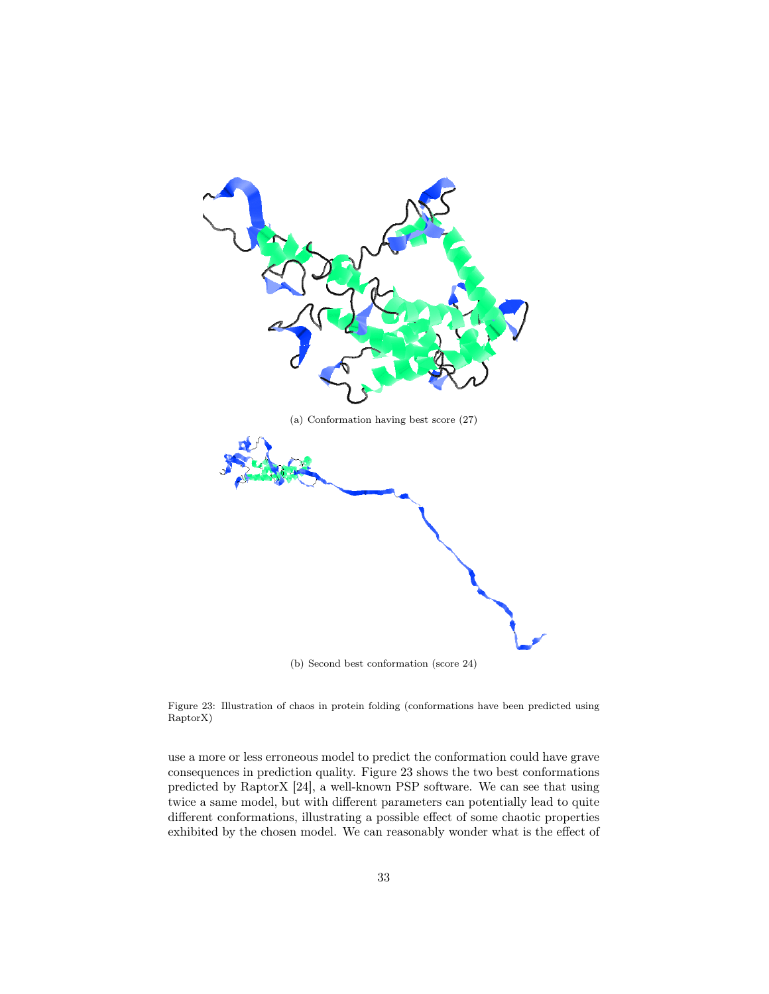

Figure 23: Illustration of chaos in protein folding (conformations have been predicted using RaptorX)

use a more or less erroneous model to predict the conformation could have grave consequences in prediction quality. Figure 23 shows the two best conformations predicted by RaptorX [24], a well-known PSP software. We can see that using twice a same model, but with different parameters can potentially lead to quite different conformations, illustrating a possible effect of some chaotic properties exhibited by the chosen model. We can reasonably wonder what is the effect of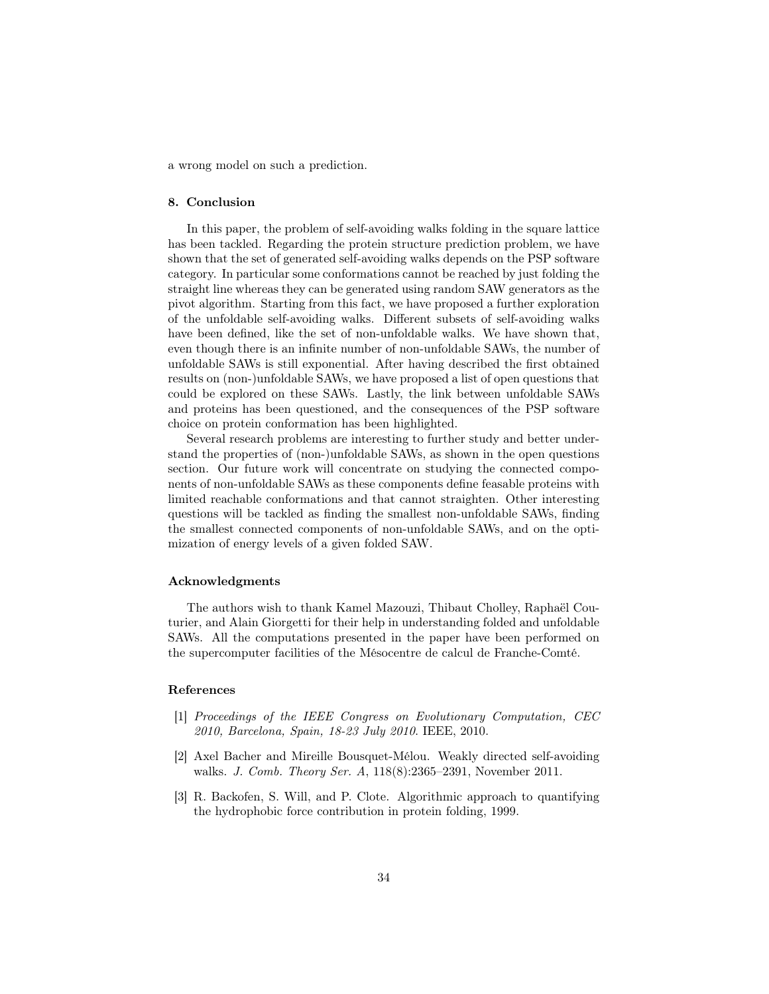a wrong model on such a prediction.

#### 8. Conclusion

In this paper, the problem of self-avoiding walks folding in the square lattice has been tackled. Regarding the protein structure prediction problem, we have shown that the set of generated self-avoiding walks depends on the PSP software category. In particular some conformations cannot be reached by just folding the straight line whereas they can be generated using random SAW generators as the pivot algorithm. Starting from this fact, we have proposed a further exploration of the unfoldable self-avoiding walks. Different subsets of self-avoiding walks have been defined, like the set of non-unfoldable walks. We have shown that, even though there is an infinite number of non-unfoldable SAWs, the number of unfoldable SAWs is still exponential. After having described the first obtained results on (non-)unfoldable SAWs, we have proposed a list of open questions that could be explored on these SAWs. Lastly, the link between unfoldable SAWs and proteins has been questioned, and the consequences of the PSP software choice on protein conformation has been highlighted.

Several research problems are interesting to further study and better understand the properties of (non-)unfoldable SAWs, as shown in the open questions section. Our future work will concentrate on studying the connected components of non-unfoldable SAWs as these components define feasable proteins with limited reachable conformations and that cannot straighten. Other interesting questions will be tackled as finding the smallest non-unfoldable SAWs, finding the smallest connected components of non-unfoldable SAWs, and on the optimization of energy levels of a given folded SAW.

#### Acknowledgments

The authors wish to thank Kamel Mazouzi, Thibaut Cholley, Raphaël Couturier, and Alain Giorgetti for their help in understanding folded and unfoldable SAWs. All the computations presented in the paper have been performed on the supercomputer facilities of the Mésocentre de calcul de Franche-Comté.

## References

- [1] Proceedings of the IEEE Congress on Evolutionary Computation, CEC 2010, Barcelona, Spain, 18-23 July 2010. IEEE, 2010.
- [2] Axel Bacher and Mireille Bousquet-Mélou. Weakly directed self-avoiding walks. J. Comb. Theory Ser. A, 118(8):2365–2391, November 2011.
- [3] R. Backofen, S. Will, and P. Clote. Algorithmic approach to quantifying the hydrophobic force contribution in protein folding, 1999.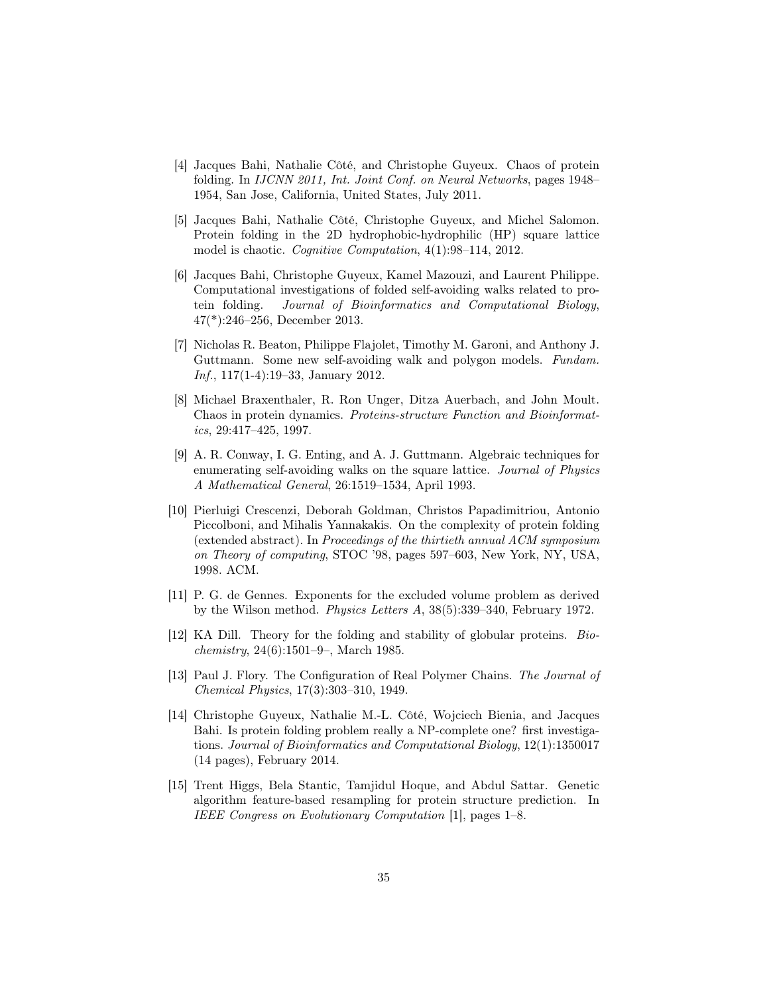- [4] Jacques Bahi, Nathalie Côté, and Christophe Guyeux. Chaos of protein folding. In IJCNN 2011, Int. Joint Conf. on Neural Networks, pages 1948– 1954, San Jose, California, United States, July 2011.
- [5] Jacques Bahi, Nathalie Côté, Christophe Guyeux, and Michel Salomon. Protein folding in the 2D hydrophobic-hydrophilic (HP) square lattice model is chaotic. Cognitive Computation, 4(1):98–114, 2012.
- [6] Jacques Bahi, Christophe Guyeux, Kamel Mazouzi, and Laurent Philippe. Computational investigations of folded self-avoiding walks related to protein folding. Journal of Bioinformatics and Computational Biology, 47(\*):246–256, December 2013.
- [7] Nicholas R. Beaton, Philippe Flajolet, Timothy M. Garoni, and Anthony J. Guttmann. Some new self-avoiding walk and polygon models. Fundam. Inf., 117(1-4):19–33, January 2012.
- [8] Michael Braxenthaler, R. Ron Unger, Ditza Auerbach, and John Moult. Chaos in protein dynamics. Proteins-structure Function and Bioinformatics, 29:417–425, 1997.
- [9] A. R. Conway, I. G. Enting, and A. J. Guttmann. Algebraic techniques for enumerating self-avoiding walks on the square lattice. Journal of Physics A Mathematical General, 26:1519–1534, April 1993.
- [10] Pierluigi Crescenzi, Deborah Goldman, Christos Papadimitriou, Antonio Piccolboni, and Mihalis Yannakakis. On the complexity of protein folding (extended abstract). In Proceedings of the thirtieth annual ACM symposium on Theory of computing, STOC '98, pages 597–603, New York, NY, USA, 1998. ACM.
- [11] P. G. de Gennes. Exponents for the excluded volume problem as derived by the Wilson method. Physics Letters A, 38(5):339–340, February 1972.
- [12] KA Dill. Theory for the folding and stability of globular proteins. Biochemistry, 24(6):1501–9–, March 1985.
- [13] Paul J. Flory. The Configuration of Real Polymer Chains. The Journal of Chemical Physics, 17(3):303–310, 1949.
- [14] Christophe Guyeux, Nathalie M.-L. Côté, Wojciech Bienia, and Jacques Bahi. Is protein folding problem really a NP-complete one? first investigations. Journal of Bioinformatics and Computational Biology, 12(1):1350017 (14 pages), February 2014.
- [15] Trent Higgs, Bela Stantic, Tamjidul Hoque, and Abdul Sattar. Genetic algorithm feature-based resampling for protein structure prediction. In IEEE Congress on Evolutionary Computation [1], pages 1–8.